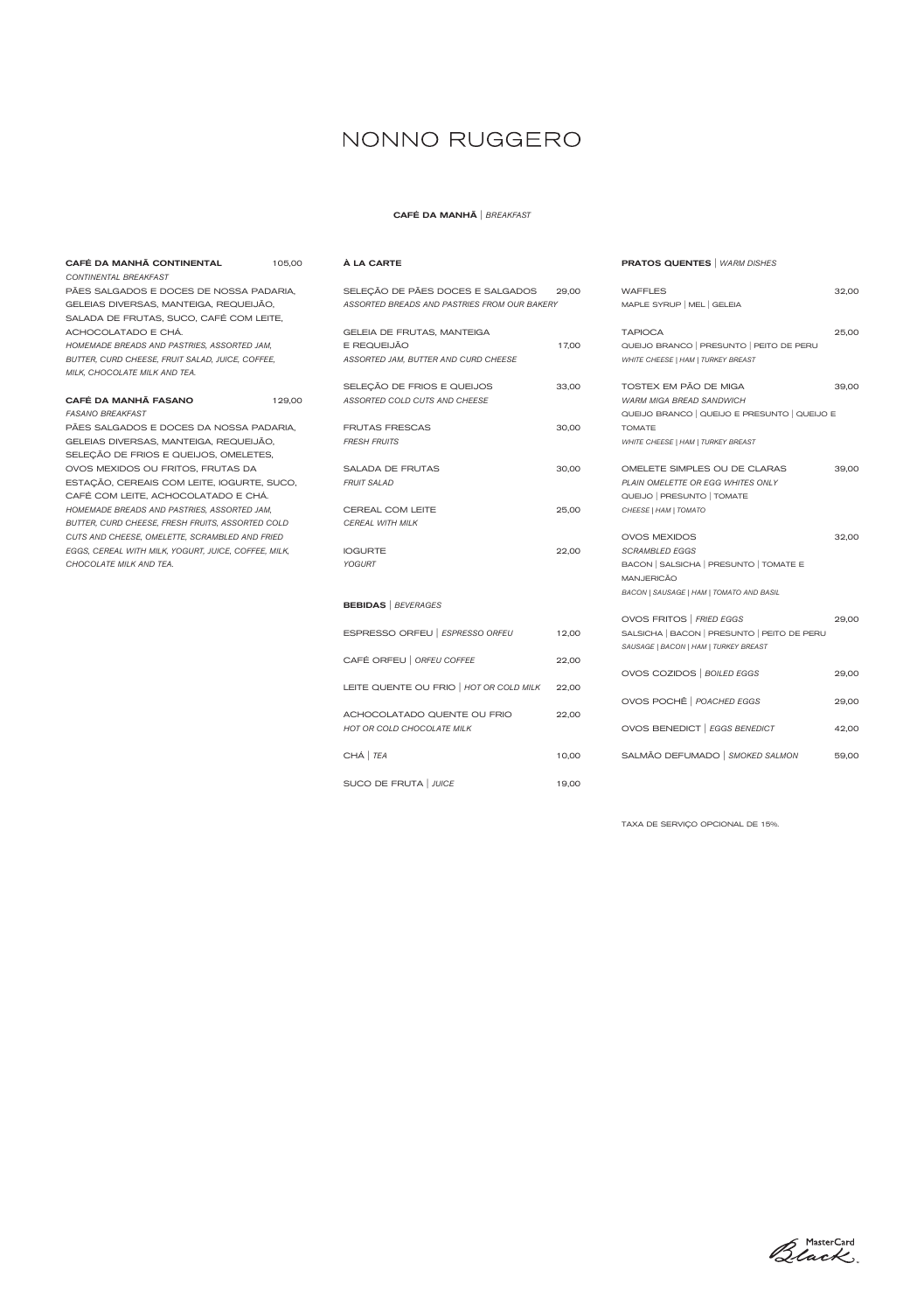| CAFÉ DA MANHÃ CONTINENTAL                            | 105,00 |
|------------------------------------------------------|--------|
| CONTINENTAL BREAKFAST                                |        |
| PÃES SALGADOS E DOCES DE NOSSA PADARIA,              |        |
| GELEIAS DIVERSAS, MANTEIGA, REQUEIJÃO,               |        |
| SALADA DE FRUTAS, SUCO, CAFÉ COM LEITE,              |        |
| ACHOCOLATADO E CHÁ.                                  |        |
| HOMEMADE BREADS AND PASTRIES, ASSORTED JAM,          |        |
| BUTTER, CURD CHEESE, FRUIT SALAD, JUICE, COFFEE,     |        |
| MILK, CHOCOLATE MILK AND TEA.                        |        |
|                                                      |        |
| CAFÉ DA MANHÃ FASANO                                 | 129.00 |
| <b>FASANO BREAKFAST</b>                              |        |
| PÃES SALGADOS E DOCES DA NOSSA PADARIA,              |        |
| GELEIAS DIVERSAS, MANTEIGA, REQUEIJÃO,               |        |
| SELEÇÃO DE FRIOS E QUEIJOS, OMELETES,                |        |
| OVOS MEXIDOS OU FRITOS, FRUTAS DA                    |        |
| ESTAÇÃO, CEREAIS COM LEITE, IOGURTE, SUCO,           |        |
| CAFÉ COM LEITE, ACHOCOLATADO E CHÁ.                  |        |
| HOMEMADE BREADS AND PASTRIES, ASSORTED JAM,          |        |
| BUTTER, CURD CHEESE, FRESH FRUITS, ASSORTED COLD     |        |
| CUTS AND CHEESE, OMELETTE, SCRAMBLED AND FRIED       |        |
| EGGS, CEREAL WITH MILK, YOGURT, JUICE, COFFEE, MILK, |        |

### CAFÉ ORFEU | *ORFEU COFFEE* 22,00 LEITE QUENTE OU FRIO | *HOT OR COLD MILK* 22,00 ACHOCOLATADO QUENTE OU FRIO 22,00 *HOT OR COLD CHOCOLATE MILK* CHÁ | *TEA* 10,00 SUCO DE FRUTA | *JUICE* 19,00

*CHOCOLATE MILK AND TEA.*

#### À LA CARTE

| SELEÇÃO DE PÃES DOCES E SALGADOS 29,00<br>ASSORTED BREADS AND PASTRIES FROM OUR BAKERY |                      |
|----------------------------------------------------------------------------------------|----------------------|
| GELEIA DE FRUTAS, MANTEIGA<br>E REQUEIJÃO<br>ASSORTED JAM, BUTTER AND CURD CHEESE      | 17,00                |
| SELEÇÃO DE FRIOS E QUEIJOS<br>ASSORTED COLD CUTS AND CHEESE                            | 33,00                |
| <b>FRUTAS FRESCAS</b><br><b>FRESH FRUITS</b>                                           | 30,00                |
| <b>SALADA DE FRUTAS</b><br><b>FRUIT SALAD</b>                                          | 30,00                |
| <b>CEREAL COM LEITE</b><br><b>CEREAL WITH MILK</b>                                     | 25,00                |
| <b>IOGURTE</b><br><b>YOGURT</b>                                                        | 22,00                |
| <b>BEBIDAS</b>   BEVERAGES                                                             |                      |
| ESPRESSO ORFEU   ESPRESSO ORFEU                                                        | 12,00                |
| $\Omega$                                                                               | $\sim$ $\sim$ $\sim$ |

### PRATOS QUENTES | *WARM DISHES*

| <b>WAFFLES</b>                               | 32,00 |
|----------------------------------------------|-------|
| MAPLE SYRUP   MEL   GELEIA                   |       |
|                                              |       |
| <b>TAPIOCA</b>                               | 25,00 |
| QUEIJO BRANCO   PRESUNTO   PEITO DE PERU     |       |
| WHITE CHEESE   HAM   TURKEY BREAST           |       |
| TOSTEX EM PÃO DE MIGA                        | 39,00 |
| <b>WARM MIGA BREAD SANDWICH</b>              |       |
| QUEIJO BRANCO   QUEIJO E PRESUNTO   QUEIJO E |       |
| <b>TOMATE</b>                                |       |
| WHITE CHEESE   HAM   TURKEY BREAST           |       |
|                                              |       |
| OMELETE SIMPLES OU DE CLARAS                 | 39,00 |
| PLAIN OMELETTE OR EGG WHITES ONLY            |       |
| QUEIJO   PRESUNTO   TOMATE                   |       |
| CHEESE   HAM   TOMATO                        |       |
|                                              |       |
| <b>OVOS MEXIDOS</b>                          | 32,00 |
| <b>SCRAMBLED EGGS</b>                        |       |
| BACON   SALSICHA   PRESUNTO   TOMATE E       |       |
| <b>MANJERICÃO</b>                            |       |
| BACON   SAUSAGE   HAM   TOMATO AND BASIL     |       |
| OVOS FRITOS   FRIED EGGS                     | 29,00 |
| SALSICHA   BACON   PRESUNTO   PEITO DE PERU  |       |
| SAUSAGE   BACON   HAM   TURKEY BREAST        |       |
|                                              |       |
| OVOS COZIDOS   BOILED EGGS                   | 29,00 |
|                                              |       |
| OVOS POCHÊ   POACHED EGGS                    | 29,00 |
|                                              |       |
| OVOS BENEDICT   EGGS BENEDICT                | 42,00 |
| SALMÃO DEFUMADO   SMOKED SALMON              | 59,00 |
|                                              |       |

TAXA DE SERVIÇO OPCIONAL DE 15%.



### NONNO RUGGERO

### CAFÉ DA MANHÃ | *BREAKFAST*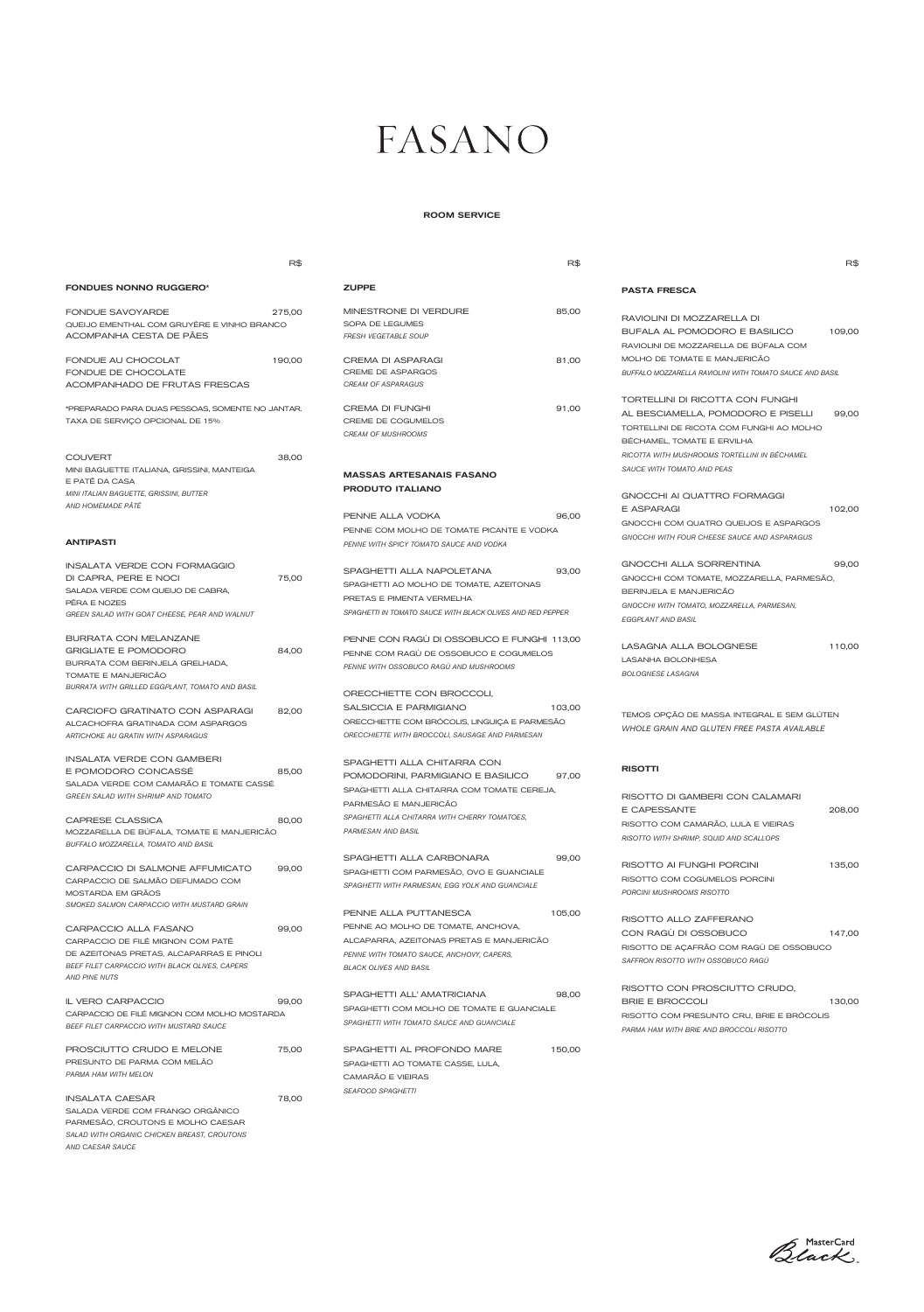IL VERO CARPACCIO 99,00 CARPACCIO DE FILÉ MIGNON COM MOLHO MOSTARDA *BEEF FILET CARPACCIO WITH MUSTARD SAUCE*

PROSCIUTTO CRUDO E MELONE 75,00 PRESUNTO DE PARMA COM MELÃO *PARMA HAM WITH MELON*

INSALATA CAESAR 78,00 SALADA VERDE COM FRANGO ORGÂNICO PARMESÃO, CROUTONS E MOLHO CAESAR *SALAD WITH ORGANIC CHICKEN BREAST, CROUTONS AND CAESAR SAUCE*

DE AZEITONAS PRETAS, ALCAPARRAS E PINOLI *BEEF FILET CARPACCIO WITH BLACK OLIVES, CAPERS AND PINE NUTS*

> SPAGHETTI ALL' AMATRICIANA 98,00 SPAGHETTI COM MOLHO DE TOMATE E GUANCIALE *SPAGHETTI WITH TOMATO SAUCE AND GUANCIALE*

> SPAGHETTI AL PROFONDO MARE 150,00 SPAGHETTI AO TOMATE CASSE, LULA, CAMARÃO E VIEIRAS *SEAFOOD SPAGHETTI*

|                                                                                                                                                                             | R\$            |                                                                                                                                                                                          | R\$    |                                                                                                                                                                                                                   | R\$    |
|-----------------------------------------------------------------------------------------------------------------------------------------------------------------------------|----------------|------------------------------------------------------------------------------------------------------------------------------------------------------------------------------------------|--------|-------------------------------------------------------------------------------------------------------------------------------------------------------------------------------------------------------------------|--------|
| <b>FONDUES NONNO RUGGERO*</b>                                                                                                                                               |                | <b>ZUPPE</b>                                                                                                                                                                             |        | <b>PASTA FRESCA</b>                                                                                                                                                                                               |        |
| FONDUE SAVOYARDE<br>OUEIJO EMENTHAL COM GRUYÈRE E VINHO BRANCO<br>ACOMPANHA CESTA DE PÃES                                                                                   | 275,00         | MINESTRONE DI VERDURE<br>SOPA DE LEGUMES<br><b>FRESH VEGETABLE SOUP</b>                                                                                                                  | 85,00  | RAVIOLINI DI MOZZARELLA DI<br>BUFALA AL POMODORO E BASILICO<br>RAVIOLINI DE MOZZARELLA DE BÚFALA COM                                                                                                              | 109,00 |
| FONDUE AU CHOCOLAT<br>FONDUE DE CHOCOLATE<br>ACOMPANHADO DE FRUTAS FRESCAS                                                                                                  | 190,00         | <b>CREMA DI ASPARAGI</b><br><b>CREME DE ASPARGOS</b><br><b>CREAM OF ASPARAGUS</b>                                                                                                        | 81,00  | MOLHO DE TOMATE E MANJERICÃO<br>BUFFALO MOZZARELLA RAVIOLINI WITH TOMATO SAUCE AND BASIL                                                                                                                          |        |
| *PREPARADO PARA DUAS PESSOAS, SOMENTE NO JANTAR.<br>TAXA DE SERVIÇO OPCIONAL DE 15%                                                                                         |                | <b>CREMA DI FUNGHI</b><br>CREME DE COGUMELOS<br><b>CREAM OF MUSHROOMS</b>                                                                                                                | 91,00  | TORTELLINI DI RICOTTA CON FUNGHI<br>AL BESCIAMELLA, POMODORO E PISELLI<br>TORTELLINI DE RICOTA COM FUNGHI AO MOLHO<br>BÉCHAMEL, TOMATE E ERVILHA                                                                  | 99.00  |
| <b>COUVERT</b><br>MINI BAGUETTE ITALIANA, GRISSINI, MANTEIGA<br>E PATÊ DA CASA<br>MINI ITALIAN BAGUETTE, GRISSINI, BUTTER<br>AND HOMEMADE PÂTÉ<br><b>ANTIPASTI</b>          | 38,00          | <b>MASSAS ARTESANAIS FASANO</b><br><b>PRODUTO ITALIANO</b><br>PENNE ALLA VODKA<br>PENNE COM MOLHO DE TOMATE PICANTE E VODKA<br>PENNE WITH SPICY TOMATO SAUCE AND VODKA                   | 96,00  | RICOTTA WITH MUSHROOMS TORTELLINI IN BÉCHAMEL<br>SAUCE WITH TOMATO AND PEAS<br>GNOCCHI AI QUATTRO FORMAGGI<br>E ASPARAGI<br>GNOCCHI COM QUATRO QUEIJOS E ASPARGOS<br>GNOCCHI WITH FOUR CHEESE SAUCE AND ASPARAGUS | 102,00 |
| <b>INSALATA VERDE CON FORMAGGIO</b><br>DI CAPRA, PERE E NOCI<br>SALADA VERDE COM QUEIJO DE CABRA,<br>PÊRA E NOZES<br>GREEN SALAD WITH GOAT CHEESE, PEAR AND WALNUT          | 75,00          | SPAGHETTI ALLA NAPOLETANA<br>SPAGHETTI AO MOLHO DE TOMATE, AZEITONAS<br>PRETAS E PIMENTA VERMELHA<br>SPAGHETTI IN TOMATO SAUCE WITH BLACK OLIVES AND RED PEPPER                          | 93,00  | GNOCCHI ALLA SORRENTINA<br>GNOCCHI COM TOMATE, MOZZARELLA, PARMESÃO,<br>BERINJELA E MANJERICÃO<br>GNOCCHI WITH TOMATO, MOZZARELLA, PARMESAN,<br><b>EGGPLANT AND BASIL</b>                                         | 99,00  |
| BURRATA CON MELANZANE<br><b>GRIGLIATE E POMODORO</b><br>BURRATA COM BERINJELA GRELHADA,<br>TOMATE E MANJERICÃO                                                              | 84,00          | PENNE CON RAGU DI OSSOBUCO E FUNGHI 113,00<br>PENNE COM RAGU DE OSSOBUCO E COGUMELOS<br>PENNE WITH OSSOBUCO RAGÙ AND MUSHROOMS                                                           |        | LASAGNA ALLA BOLOGNESE<br>LASANHA BOLONHESA<br><b>BOLOGNESE LASAGNA</b>                                                                                                                                           | 110,00 |
| BURRATA WITH GRILLED EGGPLANT, TOMATO AND BASIL<br>CARCIOFO GRATINATO CON ASPARAGI<br>ALCACHOFRA GRATINADA COM ASPARGOS<br><b>ARTICHOKE AU GRATIN WITH ASPARAGUS</b>        | 82,00          | ORECCHIETTE CON BROCCOLI,<br>SALSICCIA E PARMIGIANO<br>ORECCHIETTE COM BRÓCOLIS, LINGUIÇA E PARMESÃO<br>ORECCHIETTE WITH BROCCOLI, SAUSAGE AND PARMESAN                                  | 103,00 | TEMOS OPÇÃO DE MASSA INTEGRAL E SEM GLÚTEN<br>WHOLE GRAIN AND GLUTEN FREE PASTA AVAILABLE                                                                                                                         |        |
| <b>INSALATA VERDE CON GAMBERI</b><br>E POMODORO CONCASSE<br>SALADA VERDE COM CAMARÃO E TOMATE CASSÉ<br><b>GREEN SALAD WITH SHRIMP AND TOMATO</b><br><b>CAPRESE CLASSICA</b> | 85,00<br>80,00 | SPAGHETTI ALLA CHITARRA CON<br>POMODORINI, PARMIGIANO E BASILICO<br>SPAGHETTI ALLA CHITARRA COM TOMATE CEREJA,<br>PARMESÃO E MANJERICÃO<br>SPAGHETTI ALLA CHITARRA WITH CHERRY TOMATOES, | 97,00  | <b>RISOTTI</b><br>RISOTTO DI GAMBERI CON CALAMARI<br><b>E CAPESSANTE</b>                                                                                                                                          | 208,00 |
| MOZZARELLA DE BÚFALA, TOMATE E MANJERICÃO<br>BUFFALO MOZZARELLA, TOMATO AND BASIL<br>CARPACCIO DI SALMONE AFFUMICATO<br>CARPACCIO DE SALMÃO DEFUMADO COM                    | 99,00          | PARMESAN AND BASIL<br>SPAGHETTI ALLA CARBONARA<br>SPAGHETTI COM PARMESÃO, OVO E GUANCIALE                                                                                                | 99,00  | RISOTTO COM CAMARÃO, LULA E VIEIRAS<br>RISOTTO WITH SHRIMP, SQUID AND SCALLOPS<br>RISOTTO AI FUNGHI PORCINI<br>RISOTTO COM COGUMELOS PORCINI                                                                      | 135,00 |
| MOSTARDA EM GRÃOS<br>SMOKED SALMON CARPACCIO WITH MUSTARD GRAIN<br>CARPACCIO ALLA FASANO<br>CARPACCIO DE FILÉ MIGNON COM PATÊ                                               | 99,00          | SPAGHETTI WITH PARMESAN, EGG YOLK AND GUANCIALE<br>PENNE ALLA PUTTANESCA<br>PENNE AO MOLHO DE TOMATE, ANCHOVA,<br>ALCAPARRA, AZEITONAS PRETAS E MANJERICÃO                               | 105,00 | PORCINI MUSHROOMS RISOTTO<br>RISOTTO ALLO ZAFFERANO<br>CON RAGU DI OSSOBUCO                                                                                                                                       | 147,00 |

RISOTTO DE AÇAFRÃO COM RAGU DE OSSOBUCO *SAFFRON RISOTTO WITH OSSOBUCO RAGÙ*

*PENNE WITH TOMATO SAUCE, ANCHOVY, CAPERS, BLACK OLIVES AND BASIL*

> RISOTTO CON PROSCIUTTO CRUDO, BRIE E BROCCOLI 130,00 RISOTTO COM PRESUNTO CRU, BRIE E BRÓCOLIS *PARMA HAM WITH BRIE AND BROCCOLI RISOTTO*



### FASANO

#### ROOM SERVICE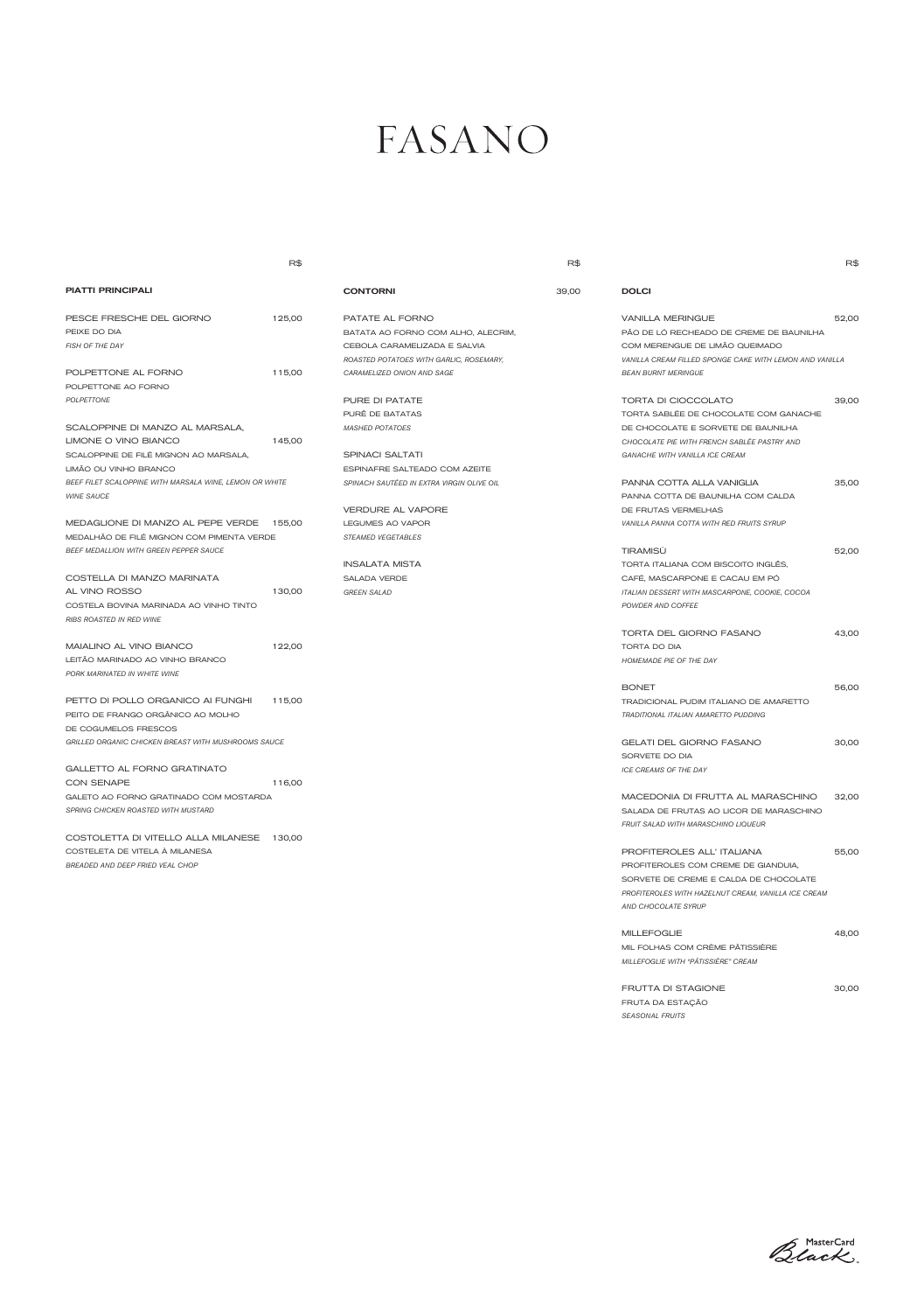# FASANO

|                                                                                                                   | R\$    |                                                                                                                                  | R\$   |                                                                                                                                                                                          | R\$   |
|-------------------------------------------------------------------------------------------------------------------|--------|----------------------------------------------------------------------------------------------------------------------------------|-------|------------------------------------------------------------------------------------------------------------------------------------------------------------------------------------------|-------|
| <b>PIATTI PRINCIPALI</b>                                                                                          |        | <b>CONTORNI</b>                                                                                                                  | 39,00 | <b>DOLCI</b>                                                                                                                                                                             |       |
| PESCE FRESCHE DEL GIORNO<br>PEIXE DO DIA<br>FISH OF THE DAY                                                       | 125,00 | PATATE AL FORNO<br>BATATA AO FORNO COM ALHO, ALECRIM,<br>CEBOLA CARAMELIZADA E SALVIA<br>ROASTED POTATOES WITH GARLIC, ROSEMARY, |       | <b>VANILLA MERINGUE</b><br>PÃO DE LÓ RECHEADO DE CREME DE BAUNILHA<br>COM MERENGUE DE LIMÃO QUEIMADO<br>VANILLA CREAM FILLED SPONGE CAKE WITH LEMON AND VANILLA                          | 52,00 |
| POLPETTONE AL FORNO<br>POLPETTONE AO FORNO                                                                        | 115,00 | CARAMELIZED ONION AND SAGE                                                                                                       |       | <b>BEAN BURNT MERINGUE</b>                                                                                                                                                               |       |
| POLPETTONE<br>SCALOPPINE DI MANZO AL MARSALA,<br>LIMONE O VINO BIANCO                                             | 145,00 | PURE DI PATATE<br>PURÊ DE BATATAS<br><b>MASHED POTATOES</b>                                                                      |       | <b>TORTA DI CIOCCOLATO</b><br>TORTA SABLÉE DE CHOCOLATE COM GANACHE<br>DE CHOCOLATE E SORVETE DE BAUNILHA<br>CHOCOLATE PIE WITH FRENCH SABLÉE PASTRY AND                                 | 39,00 |
| SCALOPPINE DE FILÉ MIGNON AO MARSALA,<br>LIMÃO OU VINHO BRANCO                                                    |        | <b>SPINACI SALTATI</b><br>ESPINAFRE SALTEADO COM AZEITE                                                                          |       | GANACHE WITH VANILLA ICE CREAM                                                                                                                                                           |       |
| BEEF FILET SCALOPPINE WITH MARSALA WINE, LEMON OR WHITE<br><b>WINE SAUCE</b><br>MEDAGLIONE DI MANZO AL PEPE VERDE | 155.00 | SPINACH SAUTÉED IN EXTRA VIRGIN OLIVE OIL<br>VERDURE AL VAPORE<br>LEGUMES AO VAPOR                                               |       | PANNA COTTA ALLA VANIGLIA<br>PANNA COTTA DE BAUNILHA COM CALDA<br>DE FRUTAS VERMELHAS<br>VANILLA PANNA COTTA WITH RED FRUITS SYRUP                                                       | 35,00 |
| MEDALHÃO DE FILÉ MIGNON COM PIMENTA VERDE<br><b>BEEF MEDALLION WITH GREEN PEPPER SAUCE</b>                        |        | <b>STEAMED VEGETABLES</b><br><b>INSALATA MISTA</b>                                                                               |       | <b>TIRAMISÙ</b><br>TORTA ITALIANA COM BISCOITO INGLËS,                                                                                                                                   | 52,00 |
| COSTELLA DI MANZO MARINATA<br>AL VINO ROSSO<br>COSTELA BOVINA MARINADA AO VINHO TINTO                             | 130,00 | SALADA VERDE<br><b>GREEN SALAD</b>                                                                                               |       | CAFÉ, MASCARPONE E CACAU EM PÓ<br>ITALIAN DESSERT WITH MASCARPONE, COOKIE, COCOA<br>POWDER AND COFFEE                                                                                    |       |
| RIBS ROASTED IN RED WINE<br>MAIALINO AL VINO BIANCO                                                               | 122,00 |                                                                                                                                  |       | TORTA DEL GIORNO FASANO<br>TORTA DO DIA                                                                                                                                                  | 43,00 |
| LEITÃO MARINADO AO VINHO BRANCO<br>PORK MARINATED IN WHITE WINE                                                   |        |                                                                                                                                  |       | HOMEMADE PIE OF THE DAY                                                                                                                                                                  |       |
| PETTO DI POLLO ORGANICO AI FUNGHI<br>PEITO DE FRANGO ORGÂNICO AO MOLHO<br>DE COGUMELOS FRESCOS                    | 115,00 |                                                                                                                                  |       | <b>BONET</b><br>TRADICIONAL PUDIM ITALIANO DE AMARETTO<br><b>TRADITIONAL ITALIAN AMARETTO PUDDING</b>                                                                                    | 56,00 |
| <b>GRILLED ORGANIC CHICKEN BREAST WITH MUSHROOMS SAUCE</b>                                                        |        |                                                                                                                                  |       | GELATI DEL GIORNO FASANO<br>SORVETE DO DIA                                                                                                                                               | 30,00 |
| GALLETTO AL FORNO GRATINATO<br><b>CON SENAPE</b>                                                                  | 116,00 |                                                                                                                                  |       | ICE CREAMS OF THE DAY                                                                                                                                                                    |       |
| GALETO AO FORNO GRATINADO COM MOSTARDA<br><b>SPRING CHICKEN ROASTED WITH MUSTARD</b>                              |        |                                                                                                                                  |       | MACEDONIA DI FRUTTA AL MARASCHINO<br>SALADA DE FRUTAS AO LICOR DE MARASCHINO<br>FRUIT SALAD WITH MARASCHINO LIQUEUR                                                                      | 32,00 |
| COSTOLETTA DI VITELLO ALLA MILANESE 130,00<br>COSTELETA DE VITELA À MILANESA<br>BREADED AND DEEP FRIED VEAL CHOP  |        |                                                                                                                                  |       | PROFITEROLES ALL' ITALIANA<br>PROFITEROLES COM CREME DE GIANDUIA,<br>SORVETE DE CREME E CALDA DE CHOCOLATE<br>PROFITEROLES WITH HAZELNUT CREAM, VANILLA ICE CREAM<br>AND CHOCOLATE SYRUP | 55,00 |

MIL FOLHAS COM CRÈME PÂTISSIÈRE *MILLEFOGLIE WITH "PÂTISSIÈRE" CREAM*

FRUTTA DI STAGIONE  $30,00$ 

FRUTA DA ESTAÇÃO *SEASONAL FRUITS*

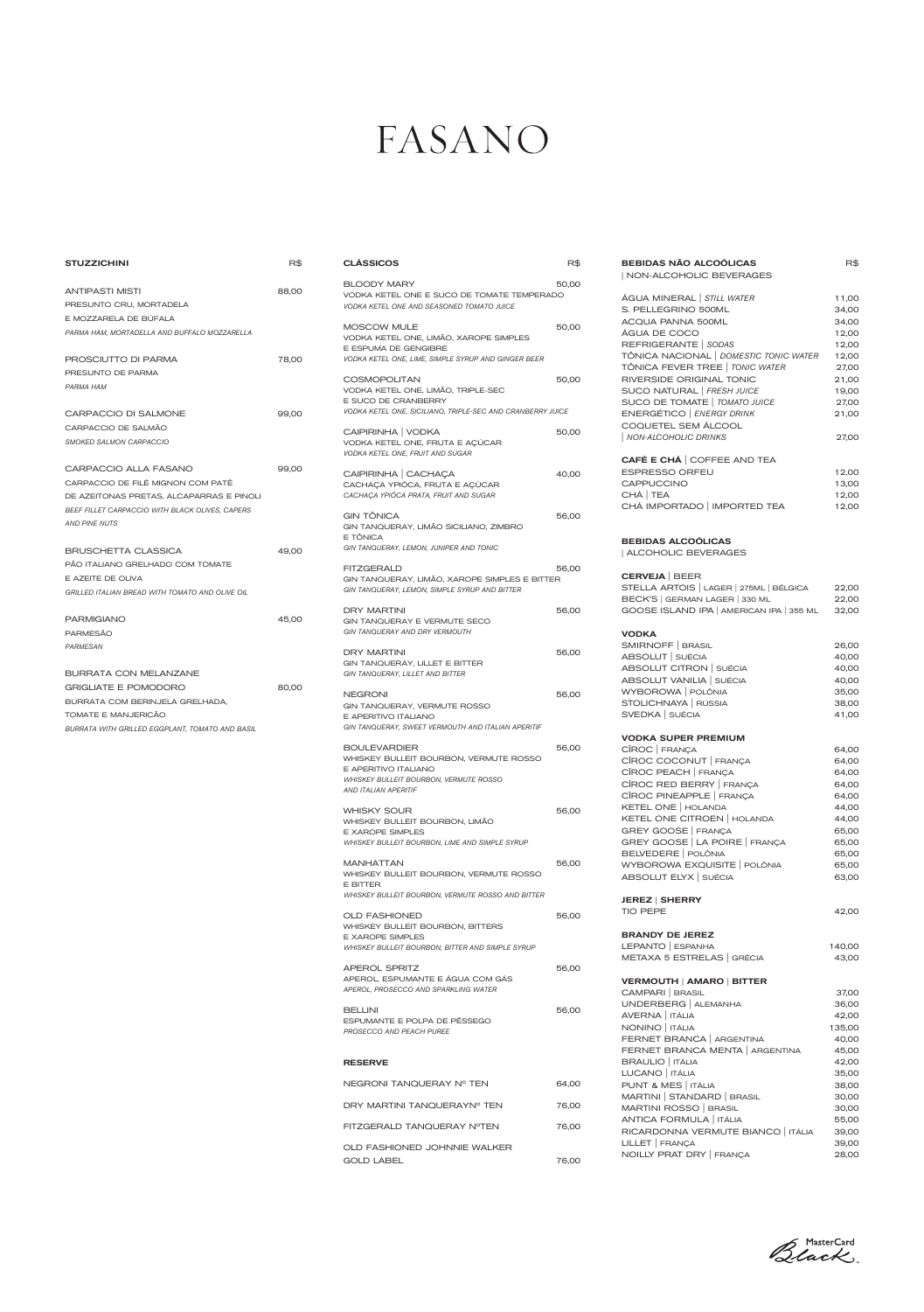### FASANO

| <b>STUZZICHINI</b>                              | R\$   | <b>CLASSICOS</b>                                                            | R\$   |
|-------------------------------------------------|-------|-----------------------------------------------------------------------------|-------|
| <b>ANTIPASTI MISTI</b>                          | 88,00 | <b>BLOODY MARY</b>                                                          | 50,00 |
| PRESUNTO CRU, MORTADELA                         |       | VODKA KETEL ONE E SUCO DE TOMATE TEMPERADO                                  |       |
| E MOZZARELA DE BÚFALA                           |       | VODKA KETEL ONE AND SEASONED TOMATO JUICE                                   |       |
| PARMA HAM, MORTADELLA AND BUFFALO MOZZARELLA    |       | MOSCOW MULE                                                                 | 50,00 |
|                                                 |       | VODKA KETEL ONE, LIMÃO, XAROPE SIMPLES                                      |       |
| PROSCIUTTO DI PARMA                             | 78,00 | E ESPUMA DE GENGIBRE<br>VODKA KETEL ONE, LIME, SIMPLE SYRUP AND GINGER BEER |       |
| PRESUNTO DE PARMA                               |       |                                                                             |       |
| PARMA HAM                                       |       | <b>COSMOPOLITAN</b>                                                         | 50,00 |
|                                                 |       | VODKA KETEL ONE, LIMÃO, TRIPLE-SEC<br>E SUCO DE CRANBERRY                   |       |
| CARPACCIO DI SALMONE                            | 99,00 | VODKA KETEL ONE, SICILIANO, TRIPLE-SEC AND CRANBERRY JUICE                  |       |
| CARPACCIO DE SALMÃO                             |       |                                                                             |       |
| SMOKED SALMON CARPACCIO                         |       | CAIPIRINHA   VODKA<br>VODKA KETEL ONE, FRUTA E AÇÚCAR                       | 50,00 |
|                                                 |       | VODKA KETEL ONE, FRUIT AND SUGAR                                            |       |
| CARPACCIO ALLA FASANO                           | 99,00 |                                                                             |       |
| CARPACCIO DE FILÉ MIGNON COM PATÊ               |       | CAIPIRINHA   CACHAÇA<br>CACHAÇA YPIÓCA, FRUTA E AÇÚCAR                      | 40,00 |
| DE AZEITONAS PRETAS, ALCAPARRAS E PINOLI        |       | CACHAÇA YPIÓCA PRATA, FRUIT AND SUGAR                                       |       |
| BEEF FILLET CARPACCIO WITH BLACK OLIVES, CAPERS |       |                                                                             |       |
| <b>AND PINE NUTS</b>                            |       | <b>GIN TÖNICA</b><br>GIN TANQUERAY, LIMÃO SICILIANO, ZIMBRO                 | 56,00 |
|                                                 |       | E TÔNICA                                                                    |       |
| <b>BRUSCHETTA CLASSICA</b>                      | 49,00 | GIN TANQUERAY, LEMON, JUNIPER AND TONIC                                     |       |
| PÃO ITALIANO GRELHADO COM TOMATE                |       | <b>FITZGERALD</b>                                                           | 56,00 |
| E AZEITE DE OLIVA                               |       | GIN TANQUERAY, LIMÃO, XAROPE SIMPLES E BITTER                               |       |
| GRILLED ITALIAN BREAD WITH TOMATO AND OLIVE OIL |       | GIN TANQUERAY, LEMON, SIMPLE SYRUP AND BITTER                               |       |
|                                                 |       | <b>DRY MARTINI</b>                                                          | 56,00 |
| <b>PARMIGIANO</b>                               | 45,00 | GIN TANQUERAY E VERMUTE SECO                                                |       |
| <b>PARMESÃO</b>                                 |       | GIN TANQUERAY AND DRY VERMOUTH                                              |       |
| PARMESAN                                        |       | <b>DRY MARTINI</b>                                                          | 56,00 |
|                                                 |       | GIN TANQUERAY, LILLET E BITTER                                              |       |
| <b>BURRATA CON MELANZANE</b>                    |       | GIN TANQUERAY, LILLET AND BITTER                                            |       |
| <b>GRIGLIATE E POMODORO</b>                     | 80,00 | <b>NEGRONI</b>                                                              | 56,00 |
| BURRATA COM BERINJELA GRELHADA,                 |       | GIN TANQUERAY, VERMUTE ROSSO                                                |       |
| TOMATE E MANJERICÃO                             |       | E APERITIVO ITALIANO                                                        |       |
| BURRATA WITH GRILLED EGGPLANT, TOMATO AND BASIL |       | GIN TANQUERAY, SWEET VERMOUTH AND ITALIAN APERITIF                          |       |
|                                                 |       | <b>BOULEVARDIER</b>                                                         | 56.00 |
|                                                 |       | WHISKEY BULLEIT BOURBON, VERMUTE ROSSO                                      |       |
|                                                 |       | E APERITIVO ITALIANO<br><b>WHISKEY BULLEIT BOURBON, VERMUTE ROSSO</b>       |       |
|                                                 |       | AND ITALIAN APERITIF                                                        |       |
|                                                 |       | <b>WHISKY SOUR</b>                                                          | 56,00 |
|                                                 |       | WHISKEY BULLEIT BOURBON, LIMÃO                                              |       |
|                                                 |       | <b>E XAROPE SIMPLES</b>                                                     |       |
|                                                 |       | WHISKEY BULLEIT BOURBON, LIME AND SIMPLE SYRUP                              |       |
|                                                 |       | <b>MANHATTAN</b>                                                            | 56,00 |
|                                                 |       | WHISKEY BULLEIT BOURBON, VERMUTE ROSSO                                      |       |
|                                                 |       | E BITTER                                                                    |       |

*WHISKEY BULLEIT BOURBON, VERMUTE ROSSO AND BITTER*

WHISKEY BULLEIT BOURBON, BITTERS

E XAROPE SIMPLES

OLD FASHIONED 56,00

| WHISKEY BULLEIT BOURBON, BITTER AND SIMPLE SYRUP                                                 |       |
|--------------------------------------------------------------------------------------------------|-------|
| <b>APEROL SPRITZ</b><br>APEROL, ESPUMANTE E ÁGUA COM GÁS<br>APEROL, PROSECCO AND SPARKLING WATER | 56,00 |
| <b>BELLINI</b><br>ESPUMANTE E POLPA DE PÊSSEGO<br>PROSECCO AND PEACH PUREE                       | 56,00 |
| <b>RESERVE</b>                                                                                   |       |
|                                                                                                  |       |
| NEGRONI TANOUERAY Nº TEN                                                                         | 64,00 |
| DRY MARTINI TANQUERAYN° TEN                                                                      | 76,00 |
| FITZGERALD TANQUERAY NºTEN                                                                       | 76.00 |

| <b>BEBIDAS NÃO ALCOÓLICAS</b><br>  NON-ALCOHOLIC BEVERAGES                                                                                                                                                                             | R\$                                                                           |
|----------------------------------------------------------------------------------------------------------------------------------------------------------------------------------------------------------------------------------------|-------------------------------------------------------------------------------|
| ÁGUA MINERAL   STILL WATER<br>S. PELLEGRINO 500ML<br>ACQUA PANNA 500ML<br>ÁGUA DE COCO<br>REFRIGERANTE   SODAS                                                                                                                         | 11,00<br>34,00<br>34,00<br>12,00<br>12,00                                     |
| TÔNICA NACIONAL   DOMESTIC TONIC WATER<br>TÔNICA FEVER TREE   TONIC WATER<br>RIVERSIDE ORIGINAL TONIC<br>SUCO NATURAL   FRESH JUICE<br>SUCO DE TOMATE   TOMATO JUICE                                                                   | 12,00<br>27,00<br>21,00<br>19,00<br>27,00                                     |
| ENERGÉTICO   ENERGY DRINK<br>COQUETEL SEM ÁLCOOL<br><b>NON-ALCOHOLIC DRINKS</b>                                                                                                                                                        | 21,00<br>27,00                                                                |
| CAFÉ E CHÁ   COFFEE AND TEA<br><b>ESPRESSO ORFEU</b>                                                                                                                                                                                   | 12,00                                                                         |
| CAPPUCCINO<br>CHÁ   TEA<br>CHÁ IMPORTADO   IMPORTED TEA                                                                                                                                                                                | 13,00<br>12,00<br>12,00                                                       |
| <b>BEBIDAS ALCOÓLICAS</b><br>  ALCOHOLIC BEVERAGES                                                                                                                                                                                     |                                                                               |
| <b>CERVEJA</b>   BEER<br>STELLA ARTOIS   LAGER   275ML   BÉLGICA<br>BECK'S   GERMAN LAGER   330 ML<br>GOOSE ISLAND IPA   AMERICAN IPA   355 ML                                                                                         | 22,00<br>22,00<br>32,00                                                       |
| <b>VODKA</b><br>SMIRNOFF   BRASIL<br>ABSOLUT SUÉCIA<br>ABSOLUT CITRON   SUÉCIA<br>ABSOLUT VANILIA SUÉCIA<br>WYBOROWA   POLÔNIA<br>STOLICHNAYA   RÚSSIA<br>SVEDKA SUÉCIA                                                                | 26,00<br>40,00<br>40,00<br>40,00<br>35,00<br>38,00<br>41,00                   |
| <b>VODKA SUPER PREMIUM</b><br>CÎROC FRANÇA                                                                                                                                                                                             | 64,00                                                                         |
| CÎROC COCONUT FRANÇA<br>CÎROC PEACH   FRANÇA<br>CÎROC RED BERRY FRANÇA<br>CÎROC PINEAPPLE FRANÇA<br>KETEL ONE   HOLANDA<br>KETEL ONE CITROEN   HOLANDA<br>GREY GOOSE   FRANÇA<br>GREY GOOSE   LA POIRE   FRANÇA<br>BELVEDERE   POLÔNIA | 64,00<br>64,00<br>64,00<br>64,00<br>44,00<br>44,00<br>65,00<br>65,00<br>65,00 |
| WYBOROWA EXQUISITE   POLÔNIA<br>ABSOLUT ELYX SUÉCIA                                                                                                                                                                                    | 65,00<br>63,00                                                                |
| <b>JEREZ   SHERRY</b><br><b>TIO PEPE</b>                                                                                                                                                                                               | 42,00                                                                         |
| / DE IEDE                                                                                                                                                                                                                              |                                                                               |

| <b>BRANDY DE JEREZ</b>                 |      |
|----------------------------------------|------|
| $F_{\text{DANTO}}$ $F_{\text{CDMULA}}$ | 1100 |

| LEPANTO   ESPANHA |                            | 140,00 |
|-------------------|----------------------------|--------|
|                   | METAXA 5 ESTRELAS   GRÉCIA | 43.00  |

| <b>VERMOUTH   AMARO   BITTER</b>   |        |
|------------------------------------|--------|
| CAMPARI   BRASIL                   | 37,00  |
| UNDERBERG   ALEMANHA               | 36,00  |
| AVERNA   ITÁLIA                    | 42,00  |
| NONINO   ITÁLIA                    | 135,00 |
| FERNET BRANCA   ARGENTINA          | 40,00  |
| FERNET BRANCA MENTA   ARGENTINA    | 45,00  |
| <b>BRAULIO</b> TÁLIA               | 42,00  |
| LUCANO   ITÁLIA                    | 35,00  |
| PUNT & MES   ITÁLIA                | 38,00  |
| MARTINI   STANDARD   BRASIL        | 30,00  |
| MARTINI ROSSO   BRASIL             | 30,00  |
| ANTICA FORMULA   ITÁLIA            | 55,00  |
| RICARDONNA VERMUTE BIANCO   ITÁLIA | 39,00  |
| LILLET   FRANÇA                    | 39,00  |
| NOILLY PRAT DRY FRANCA             | 28,00  |

Black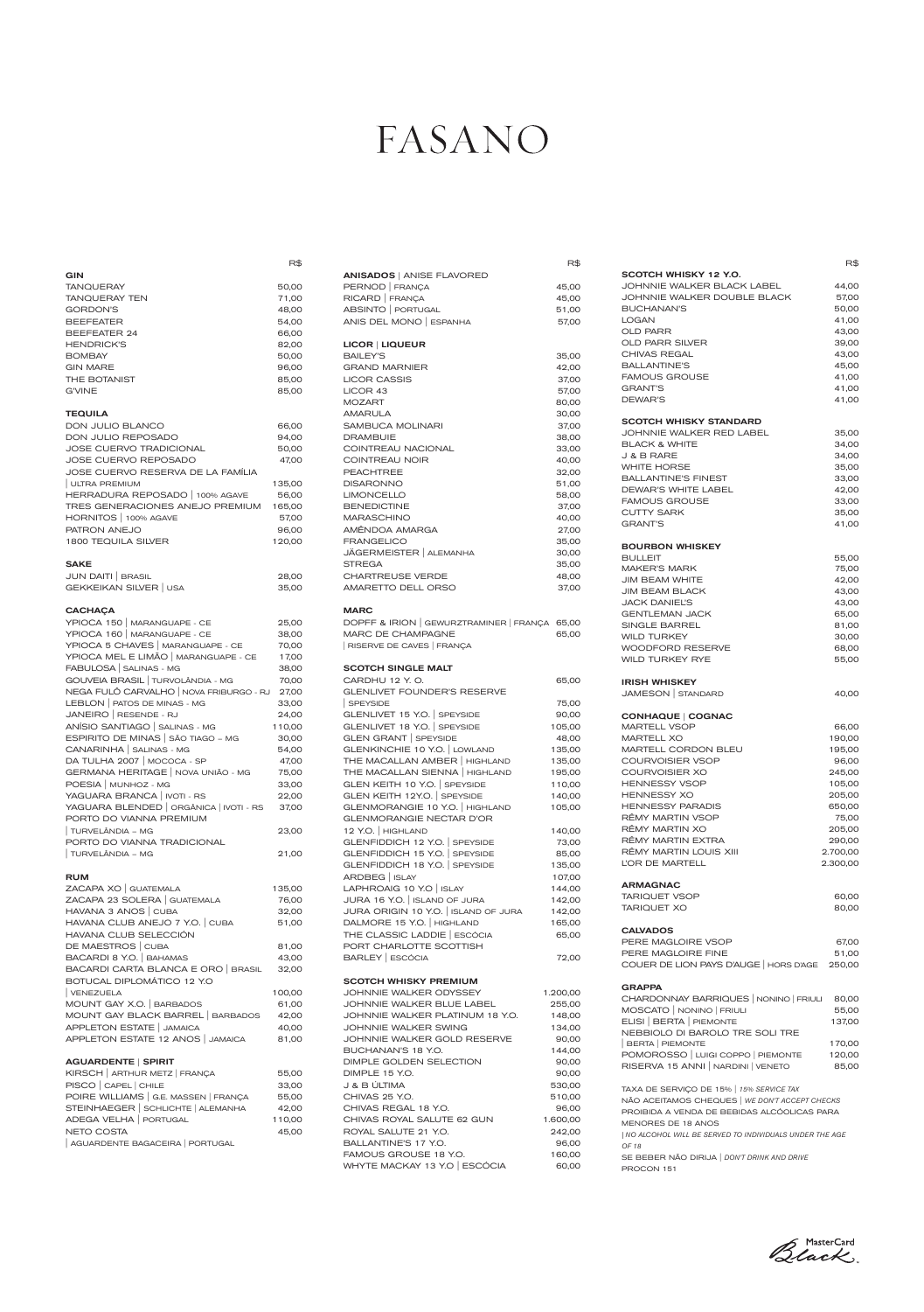|                                                                    | R\$    |
|--------------------------------------------------------------------|--------|
| GIN<br><b>TANQUERAY</b>                                            | 50,00  |
| <b>TANQUERAY TEN</b>                                               | 71,00  |
| <b>GORDON'S</b>                                                    | 48,00  |
| <b>BEEFEATER</b>                                                   | 54,00  |
|                                                                    |        |
| <b>BEEFEATER 24</b>                                                | 66,00  |
| <b>HENDRICK'S</b>                                                  | 82,00  |
| <b>BOMBAY</b>                                                      | 50,00  |
| <b>GIN MARE</b>                                                    | 96,00  |
| THE BOTANIST                                                       | 85,00  |
| <b>G'VINE</b>                                                      | 85,00  |
| <b>TEQUILA</b>                                                     |        |
| DON JULIO BLANCO                                                   | 66,00  |
| DON JULIO REPOSADO                                                 | 94,00  |
| <b>JOSE CUERVO TRADICIONAL</b>                                     | 50,00  |
| JOSE CUERVO REPOSADO                                               | 47,00  |
| JOSE CUERVO RESERVA DE LA FAMÍLIA                                  |        |
| ULTRA PREMIUM                                                      | 135,00 |
| HERRADURA REPOSADO   100% AGAVE                                    | 56,00  |
| TRES GENERACIONES ANEJO PREMIUM                                    | 165,00 |
| HORNITOS   100% AGAVE                                              | 57,00  |
| PATRON ANEJO                                                       | 96,00  |
| <b>1800 TEQUILA SILVER</b>                                         | 120,00 |
|                                                                    |        |
| <b>SAKE</b>                                                        |        |
| JUN DAITI   BRASIL                                                 | 28,00  |
| GEKKEIKAN SILVER   USA                                             | 35,00  |
|                                                                    |        |
| <b>CACHAÇA</b>                                                     |        |
| YPIOCA 150   MARANGUAPE - CE                                       | 25,00  |
|                                                                    |        |
| YPIOCA 160   MARANGUAPE - CE                                       | 38,00  |
| YPIOCA 5 CHAVES   MARANGUAPE - CE                                  | 70,00  |
| YPIOCA MEL E LIMÃO   MARANGUAPE - CE                               | 17,00  |
| FABULOSA   SALINAS - MG                                            | 38,00  |
| GOUVEIA BRASIL   TURVOLÂNDIA - MG                                  | 70,00  |
| NEGA FULÔ CARVALHO   NOVA FRIBURGO - RJ                            | 27,00  |
| LEBLON   PATOS DE MINAS - MG                                       | 33,00  |
| JANEIRO   RESENDE - RJ                                             | 24,00  |
| ANÍSIO SANTIAGO   SALINAS - MG                                     | 110,00 |
| ESPIRITO DE MINAS   SÃO TIAGO - MG                                 | 30,00  |
| CANARINHA   SALINAS - MG                                           | 54,00  |
| DA TULHA 2007   MOCOCA - SP                                        | 47,00  |
| GERMANA HERITAGE   NOVA UNIÃO - MG                                 | 75,00  |
| POESIA   MUNHOZ - MG                                               | 33,00  |
| YAGUARA BRANCA   IVOTI - RS                                        | 22,00  |
| YAGUARA BLENDED   ORGÂNICA   IVOTI - RS<br>PORTO DO VIANNA PREMIUM | 37,00  |
| TURVELÂNDIA – MG                                                   |        |
|                                                                    | 23,00  |
| PORTO DO VIANNA TRADICIONAL<br>  TURVELÂNDIA – MG                  | 21,00  |
|                                                                    |        |
| <b>RUM</b><br>ZACAPA XO   GUATEMALA                                | 135,00 |
| ZACAPA 23 SOLERA   GUATEMALA                                       | 76,00  |
|                                                                    | 32,00  |
| HAVANA 3 ANOS   CUBA<br>HAVANA CLUB ANEJO 7 Y.O.   CUBA            | 51,00  |

| DE MAESTROS   CUBA                  | 81,00  |
|-------------------------------------|--------|
| BACARDI 8 Y.O.   BAHAMAS            | 43.00  |
| BACARDI CARTA BLANCA E ORO   BRASIL | 32.00  |
| BOTUCAL DIPLOMÁTICO 12 Y.O.         |        |
| VENEZUELA                           | 100,00 |
| MOUNT GAY X.O.   BARBADOS           | 61,00  |
| MOUNT GAY BLACK BARREL   BARBADOS   | 42.00  |
| APPLETON ESTATE   JAMAICA           | 40,00  |
| APPLETON ESTATE 12 ANOS   JAMAICA   | 81.00  |
|                                     |        |

#### AGUARDENTE | SPIRIT

| KIRSCH   ARTHUR METZ   FRANÇA         | 55,00  |
|---------------------------------------|--------|
| PISCO   CAPEL   CHILE                 | 33,00  |
| POIRE WILLIAMS   G.E. MASSEN   FRANÇA | 55.00  |
| STEINHAEGER   SCHLICHTE   ALEMANHA    | 42,00  |
| ADEGA VELHA   PORTUGAL                | 110,00 |
| NETO COSTA                            | 45,00  |
| AGUARDENTE BAGACEIRA   PORTUGAL       |        |

|                               | R\$                  |
|-------------------------------|----------------------|
| SCOTCH WHISKY 12 Y.O.         |                      |
| JOHNNIE WALKER BLACK LABEL    | 44,00                |
| JOHNNIE WALKER DOUBLE BLACK   | 57,00                |
| <b>BUCHANAN'S</b>             | 50,00                |
| <b>LOGAN</b>                  | 41,00                |
| <b>OLD PARR</b>               | 43,00                |
| <b>OLD PARR SILVER</b>        | 39,00                |
| <b>CHIVAS REGAL</b>           | 43,00                |
| <b>BALLANTINE'S</b>           | 45,00                |
| <b>FAMOUS GROUSE</b>          | 41,00                |
| <b>GRANT'S</b>                | 41,00                |
| <b>DEWAR'S</b>                | 41,00                |
| <b>SCOTCH WHISKY STANDARD</b> |                      |
| JOHNNIE WALKER RED LABEL      | 35,00                |
| <b>BLACK &amp; WHITE</b>      | 34,00                |
| J & B RARE                    | 34,00                |
| <b>WHITE HORSE</b>            | 35,00                |
| <b>BALLANTINE'S FINEST</b>    | 33,00                |
| DEWAR'S WHITE LABEL           | 42,00                |
| <b>FAMOUS GROUSE</b>          |                      |
| <b>CUTTY SARK</b>             | 33,00                |
|                               | 35,00                |
| <b>GRANT'S</b>                | 41,00                |
| <b>BOURBON WHISKEY</b>        |                      |
| <b>BULLEIT</b>                | 55,00                |
| <b>MAKER'S MARK</b>           | 75,00                |
| <b>JIM BEAM WHITE</b>         | 42,00                |
| <b>JIM BEAM BLACK</b>         | 43,00                |
| <b>JACK DANIEL'S</b>          | 43,00                |
| <b>GENTLEMAN JACK</b>         | 65,00                |
| <b>SINGLE BARREL</b>          | 81,00                |
| <b>WILD TURKEY</b>            | 30,00                |
| <b>WOODFORD RESERVE</b>       | 68,00                |
| <b>WILD TURKEY RYE</b>        | 55,00                |
| <b>IRISH WHISKEY</b>          |                      |
| JAMESON   STANDARD            | 40,00                |
| <b>CONHAQUE   COGNAC</b>      |                      |
| <b>MARTELL VSOP</b>           | 66,00                |
| <b>MARTELL XO</b>             | 190,00               |
| <b>MARTELL CORDON BLEU</b>    | 195,00               |
| <b>COURVOISIER VSOP</b>       | 96,00                |
| COURVOISIER XO                | 245,00               |
| <b>HENNESSY VSOP</b>          | 105,00               |
| <b>HENNESSY XO</b>            | 205,00               |
| <b>HENNESSY PARADIS</b>       | 650,00               |
| RÊMY MARTIN VSOP              | 75,00                |
| RÊMY MARTIN XO                |                      |
| RÊMY MARTIN EXTRA             | 205,00               |
| RÊMY MARTIN LOUIS XIII        | 290,00               |
| L'OR DE MARTELL               | 2.700,00<br>2.300,00 |
|                               |                      |
| <b>ARMAGNAC</b>               |                      |
| <b>TARIQUET VSOP</b>          | 60,00                |
| <b>TARIQUET XO</b>            | 80,00                |
| <b>CALVADOS</b>               |                      |
| PERE MAGLOIRE VSOP            | 67,00                |

### FASANO

R\$

| <b>ANISADOS   ANISE FLAVORED</b>                                          |        |
|---------------------------------------------------------------------------|--------|
| PERNOD   FRANÇA                                                           | 45,00  |
| RICARD   FRANÇA                                                           | 45,00  |
| ABSINTO   PORTUGAL                                                        | 51,00  |
| ANIS DEL MONO   ESPANHA                                                   | 57,00  |
| LICOR   LIQUEUR                                                           |        |
| <b>BAILEY'S</b>                                                           | 35,00  |
| <b>GRAND MARNIER</b>                                                      | 42,00  |
| <b>LICOR CASSIS</b>                                                       | 37,00  |
| LICOR 43                                                                  | 57,00  |
| <b>MOZART</b>                                                             | 80,00  |
| AMARULA                                                                   | 30,00  |
| <b>SAMBUCA MOLINARI</b>                                                   | 37,00  |
| <b>DRAMBUIE</b>                                                           | 38,00  |
| COINTREAU NACIONAL                                                        | 33,00  |
| <b>COINTREAU NOIR</b>                                                     | 40,00  |
| <b>PEACHTREE</b>                                                          | 32,00  |
| <b>DISARONNO</b>                                                          | 51,00  |
| <b>LIMONCELLO</b>                                                         | 58,00  |
| <b>BENEDICTINE</b>                                                        | 37,00  |
| <b>MARASCHINO</b>                                                         | 40,00  |
| AMÊNDOA AMARGA                                                            | 27,00  |
| <b>FRANGELICO</b>                                                         | 35,00  |
| JÄGERMEISTER   ALEMANHA                                                   | 30,00  |
| <b>STREGA</b>                                                             | 35,00  |
| <b>CHARTREUSE VERDE</b>                                                   | 48,00  |
| AMARETTO DELL ORSO                                                        | 37,00  |
|                                                                           |        |
|                                                                           |        |
| <b>MARC</b>                                                               |        |
| DOPFF & IRION   GEWURZTRAMINER   FRANÇA 65,00<br><b>MARC DE CHAMPAGNE</b> |        |
| RISERVE DE CAVES   FRANÇA                                                 | 65,00  |
|                                                                           |        |
| <b>SCOTCH SINGLE MALT</b>                                                 |        |
| CARDHU 12 Y.O.                                                            | 65,00  |
| <b>GLENLIVET FOUNDER'S RESERVE</b>                                        |        |
| SPEYSIDE                                                                  | 75,00  |
| GLENLIVET 15 Y.O.   SPEYSIDE                                              | 90,00  |
| GLENLIVET 18 Y.O.   SPEYSIDE                                              | 105,00 |
| GLEN GRANT   SPEYSIDE                                                     | 48,00  |
| GLENKINCHIE 10 Y.O.   LOWLAND                                             | 135,00 |
| THE MACALLAN AMBER   HIGHLAND                                             | 135,00 |
| THE MACALLAN SIENNA   HIGHLAND                                            | 195,00 |
| GLEN KEITH 10 Y.O.   SPEYSIDE                                             | 110,00 |
| GLEN KEITH 12Y.O.   SPEYSIDE                                              | 140,00 |
| GLENMORANGIE 10 Y.O.   HIGHLAND<br>GLENMORANGIE NECTAR D'OR               | 105,00 |
| 12 Y.O.   HIGHLAND                                                        | 140,00 |
|                                                                           | 73,00  |
| GLENFIDDICH 12 Y.O. SPEYSIDE<br>GLENFIDDICH 15 Y.O. SPEYSIDE              | 85,00  |
| GLENFIDDICH 18 Y.O. SPEYSIDE                                              | 135,00 |
| ARDBEG   ISLAY                                                            | 107,00 |
| LAPHROAIG 10 Y.O   ISLAY                                                  | 144,00 |
| JURA 16 Y.O.   ISLAND OF JURA                                             | 142,00 |
| JURA ORIGIN 10 Y.O.   ISLAND OF JURA                                      | 142,00 |
| DALMORE 15 Y.O.   HIGHLAND                                                | 165,00 |
| THE CLASSIC LADDIE   ESCÓCIA                                              | 65,00  |
| PORT CHARLOTTE SCOTTISH<br>BARLEY   ESCÓCIA                               |        |

#### SCOTCH WHISKY PREMIUM

| JOHNNIE WALKER ODYSSEY          | 1.200,00 |
|---------------------------------|----------|
| JOHNNIE WALKER BLUE LABEL       | 255,00   |
| JOHNNIE WALKER PLATINUM 18 Y.O. | 148,00   |
| JOHNNIE WALKER SWING            | 134,00   |
| JOHNNIE WALKER GOLD RESERVE     | 90,00    |
| BUCHANAN'S 18 Y.O.              | 144.00   |
| DIMPLE GOLDEN SELECTION         | 90,00    |
| DIMPLE 15 Y.O.                  | 90,00    |
| J & B ÚLTIMA                    | 530,00   |
| CHIVAS 25 Y.O.                  | 510,00   |
| CHIVAS REGAL 18 Y.O.            | 96,00    |
| CHIVAS ROYAL SALUTE 62 GUN      | 1.600,00 |
| ROYAL SALUTE 21 Y.O.            | 242,00   |
| BALLANTINE'S 17 Y.O.            | 96,00    |
| FAMOUS GROUSE 18 Y.O.           | 160,00   |
| WHYTE MACKAY 13 Y.O   ESCÓCIA   | 60,00    |
|                                 |          |

| PERE MAGLOIRE FINE                     | 51.00  |
|----------------------------------------|--------|
| COUER DE LION PAYS D'AUGE   HORS D'AGE | 250.00 |

#### GRAPPA

| CHARDONNAY BARRIQUES   NONINO   FRIULI | 80,00  |
|----------------------------------------|--------|
| MOSCATO   NONINO   FRIULI              | 55,00  |
| ELISI   BERTA   PIEMONTE               | 137.00 |
| NEBBIOLO DI BAROLO TRE SOLI TRE        |        |
| BERTA   PIEMONTE                       | 170.00 |
| POMOROSSO   LUIGI COPPO   PIEMONTE     | 120.00 |
| RISERVA 15 ANNI   NARDINI   VENETO     | 85.00  |

TAXA DE SERVIÇO DE 15% | *15% SERVICE TAX* NÃO ACEITAMOS CHEQUES | *WE DON'T ACCEPT CHECKS* PROIBIDA A VENDA DE BEBIDAS ALCÓOLICAS PARA MENORES DE 18 ANOS *| NO ALCOHOL WILL BE SERVED TO INDIVIDUALS UNDER THE AGE OF 18* SE BEBER NÃO DIRIJA | *DON'T DRINK AND DRIVE*

PROCON 151

Black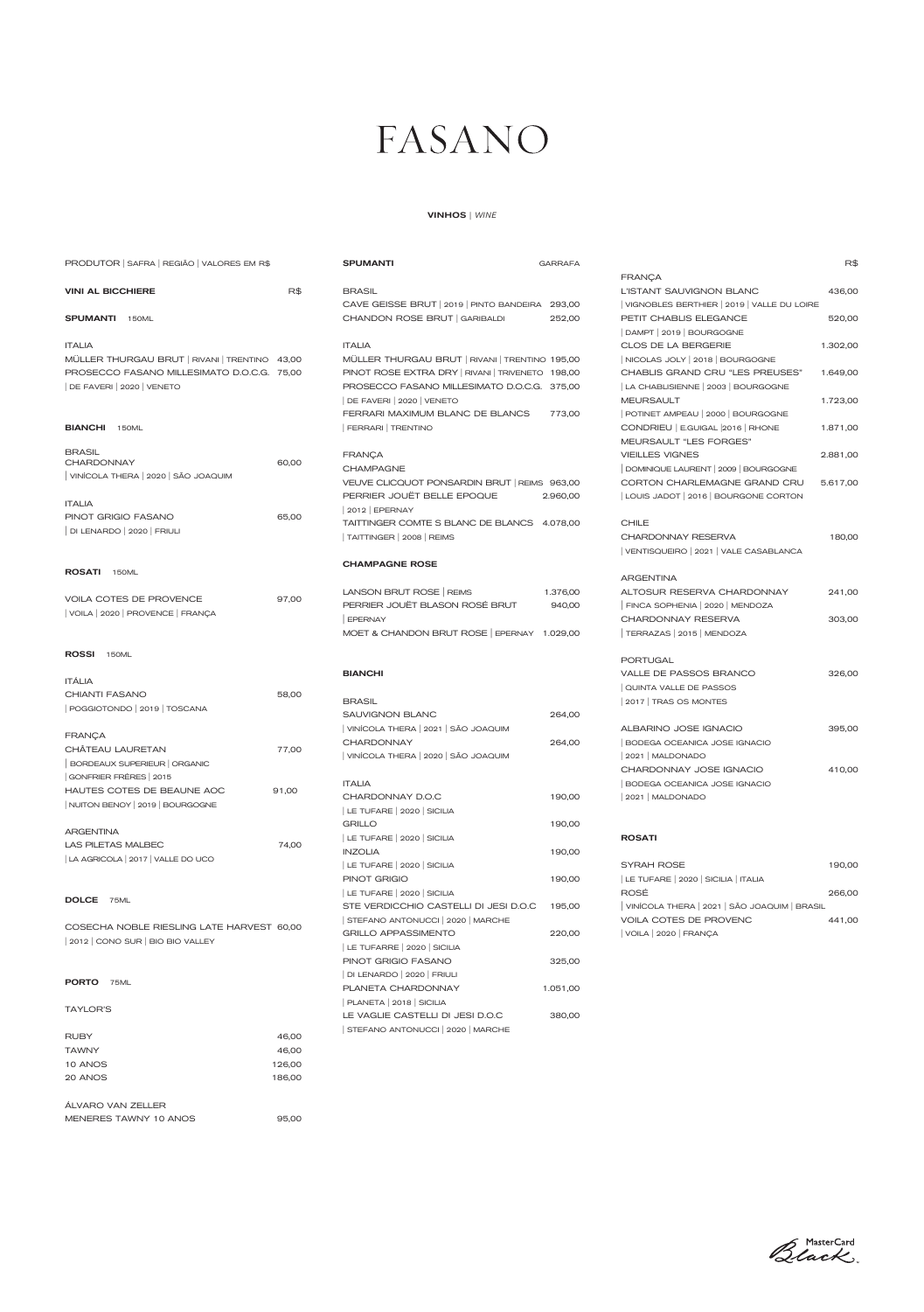|                              |        | GRILLO AFFASSIMENTO               | ZZU,UU   |
|------------------------------|--------|-----------------------------------|----------|
| 2012 CONO SUR BIO BIO VALLEY |        | LE TUFARRE   2020   SICILIA       |          |
|                              |        | PINOT GRIGIO FASANO               | 325,00   |
|                              |        | DI LENARDO   2020   FRIULI        |          |
| <b>PORTO</b><br><b>75ML</b>  |        | PLANETA CHARDONNAY                | 1.051,00 |
|                              |        | PLANETA   2018   SICILIA          |          |
| <b>TAYLOR'S</b>              |        | LE VAGLIE CASTELLI DI JESI D.O.C  | 380,00   |
|                              |        | STEFANO ANTONUCCI   2020   MARCHE |          |
| <b>RUBY</b>                  | 46,00  |                                   |          |
| <b>TAWNY</b>                 | 46,00  |                                   |          |
| 10 ANOS                      | 126,00 |                                   |          |
| 20 ANOS                      | 186,00 |                                   |          |
|                              |        |                                   |          |
| ÁLVARO VAN ZELLER            |        |                                   |          |
| MENERES TAWNY 10 ANOS        | 95,00  |                                   |          |

Black

| PRODUTOR   SAFRA   REGIÃO   VALORES EM R\$    |       | <b>SPUMANTI</b>                                  | <b>GARRAFA</b> |                                            | R\$      |
|-----------------------------------------------|-------|--------------------------------------------------|----------------|--------------------------------------------|----------|
|                                               |       |                                                  |                | <b>FRANÇA</b>                              |          |
| <b>VINI AL BICCHIERE</b>                      | R\$   | <b>BRASIL</b>                                    |                | L'ISTANT SAUVIGNON BLANC                   | 436,00   |
|                                               |       | CAVE GEISSE BRUT   2019   PINTO BANDEIRA         | 293,00         | VIGNOBLES BERTHIER   2019   VALLE DU LOIRE |          |
| <b>SPUMANTI</b> 150ML                         |       | CHANDON ROSE BRUT GARIBALDI                      | 252,00         | PETIT CHABLIS ELEGANCE                     | 520,00   |
|                                               |       |                                                  |                | DAMPT   2019   BOURGOGNE                   |          |
| <b>ITALIA</b>                                 |       | <b>ITALIA</b>                                    |                | CLOS DE LA BERGERIE                        | 1.302,00 |
| MÜLLER THURGAU BRUT   RIVANI   TRENTINO 43,00 |       | MÜLLER THURGAU BRUT   RIVANI   TRENTINO 195,00   |                | NICOLAS JOLY   2018   BOURGOGNE            |          |
| PROSECCO FASANO MILLESIMATO D.O.C.G. 75,00    |       | PINOT ROSE EXTRA DRY   RIVANI   TRIVENETO 198,00 |                | CHABLIS GRAND CRU "LES PREUSES"            | 1.649,00 |
| DE FAVERI 2020   VENETO                       |       | PROSECCO FASANO MILLESIMATO D.O.C.G. 375.00      |                | LA CHABLISIENNE   2003   BOURGOGNE         |          |
|                                               |       | DE FAVERI 2020 VENETO                            |                | <b>MEURSAULT</b>                           | 1.723,00 |
|                                               |       | FERRARI MAXIMUM BLANC DE BLANCS                  | 773,00         | POTINET AMPEAU   2000   BOURGOGNE          |          |
| <b>BIANCHI</b> 150ML                          |       | FERRARI TRENTINO                                 |                | CONDRIEU   E.GUIGAL 2016   RHONE           | 1.871,00 |
|                                               |       |                                                  |                | MEURSAULT "LES FORGES"                     |          |
| <b>BRASIL</b>                                 |       | <b>FRANÇA</b>                                    |                | <b>VIEILLES VIGNES</b>                     | 2.881,00 |
| <b>CHARDONNAY</b>                             | 60,00 | <b>CHAMPAGNE</b>                                 |                | DOMINIQUE LAURENT   2009   BOURGOGNE       |          |
| VINÍCOLA THERA 2020   SÃO JOAQUIM             |       | VEUVE CLICQUOT PONSARDIN BRUT   REIMS 963.00     |                | CORTON CHARLEMAGNE GRAND CRU               | 5.617,00 |
|                                               |       | PERRIER JOUËT BELLE EPOQUE                       | 2.960,00       | LOUIS JADOT   2016   BOURGONE CORTON       |          |
| <b>ITALIA</b>                                 |       | $2012$ EPERNAY                                   |                |                                            |          |
| PINOT GRIGIO FASANO                           | 65,00 | TAITTINGER COMTE S BLANC DE BLANCS 4.078,00      |                | <b>CHILE</b>                               |          |
| DI LENARDO   2020   FRIULI                    |       | TAITTINGER   2008   REIMS                        |                | CHARDONNAY RESERVA                         | 180,00   |
|                                               |       |                                                  |                | VENTISQUEIRO   2021   VALE CASABLANCA      |          |
|                                               |       | <b>CHAMPAGNE ROSE</b>                            |                |                                            |          |
| ROSATI 150ML                                  |       |                                                  |                | <b>ARGENTINA</b>                           |          |
|                                               |       | LANSON BRUT ROSE   REIMS                         | 1.376,00       | ALTOSUR RESERVA CHARDONNAY                 |          |
| VOILA COTES DE PROVENCE                       | 97,00 | PERRIER JOUËT BLASON ROSÉ BRUT                   |                |                                            | 241,00   |
| VOILA 2020   PROVENCE   FRANÇA                |       |                                                  | 940,00         | FINCA SOPHENIA   2020   MENDOZA            |          |
|                                               |       | <b>EPERNAY</b>                                   |                | CHARDONNAY RESERVA                         | 303,00   |
|                                               |       | MOET & CHANDON BRUT ROSE   EPERNAY 1.029,00      |                | TERRAZAS   2015   MENDOZA                  |          |
| ROSSI 150ML                                   |       |                                                  |                |                                            |          |
|                                               |       |                                                  |                | <b>PORTUGAL</b>                            |          |
| <b>ITÁLIA</b>                                 |       | <b>BIANCHI</b>                                   |                | VALLE DE PASSOS BRANCO                     | 326,00   |
| <b>CHIANTI FASANO</b>                         | 58,00 |                                                  |                | QUINTA VALLE DE PASSOS                     |          |
| POGGIOTONDO 2019   TOSCANA                    |       | <b>BRASIL</b>                                    |                | 2017   TRAS OS MONTES                      |          |
|                                               |       | <b>SAUVIGNON BLANC</b>                           | 264,00         |                                            |          |
| <b>FRANÇA</b>                                 |       | VINÍCOLA THERA   2021   SÃO JOAQUIM              |                | ALBARINO JOSE IGNACIO                      | 395,00   |
| CHÂTEAU LAURETAN                              | 77,00 | <b>CHARDONNAY</b>                                | 264,00         | BODEGA OCEANICA JOSE IGNACIO               |          |
| BORDEAUX SUPERIEUR   ORGANIC                  |       | VINÍCOLA THERA 2020 SÃO JOAQUIM                  |                | 2021   MALDONADO                           |          |
| GONFRIER FRÉRES   2015                        |       |                                                  |                | CHARDONNAY JOSE IGNACIO                    | 410,00   |
| HAUTES COTES DE BEAUNE AOC                    | 91,00 | <b>ITALIA</b>                                    |                | BODEGA OCEANICA JOSE IGNACIO               |          |
| NUITON BENOY   2019   BOURGOGNE               |       | CHARDONNAY D.O.C                                 | 190,00         | 2021   MALDONADO                           |          |
|                                               |       | LE TUFARE   2020   SICILIA                       |                |                                            |          |
| <b>ARGENTINA</b>                              |       | <b>GRILLO</b>                                    | 190,00         |                                            |          |
| <b>LAS PILETAS MALBEC</b>                     | 74,00 | LE TUFARE   2020   SICILIA                       |                | <b>ROSATI</b>                              |          |
|                                               |       | <b>INZOLIA</b>                                   | 190,00         |                                            |          |
| LA AGRICOLA   2017   VALLE DO UCO             |       | LE TUFARE   2020   SICILIA                       |                | SYRAH ROSE                                 | 190,00   |
|                                               |       | PINOT GRIGIO                                     | 190,00         | LE TUFARE   2020   SICILIA   ITALIA        |          |
|                                               |       | LE TUFARE 2020 SICILIA                           |                | ROSÉ                                       | 266,00   |
| DOLCE 75ML                                    |       | STE VERDICCHIO CASTELLI DI JESI D.O.C            | 195,00         | VINÍCOLA THERA 2021   SÃO JOAQUIM   BRASIL |          |
|                                               |       | STEFANO ANTONUCCI   2020   MARCHE                |                | VOILA COTES DE PROVENC                     | 441,00   |
| COSECHA NOBLE RIESLING LATE HARVEST 60,00     |       | <b>GRILLO APPASSIMENTO</b>                       | 220,00         | VOILA   2020   FRANÇA                      |          |

GRILLO APPASSIMENTO 220,00

## FASANO

### VINHOS | *WINE*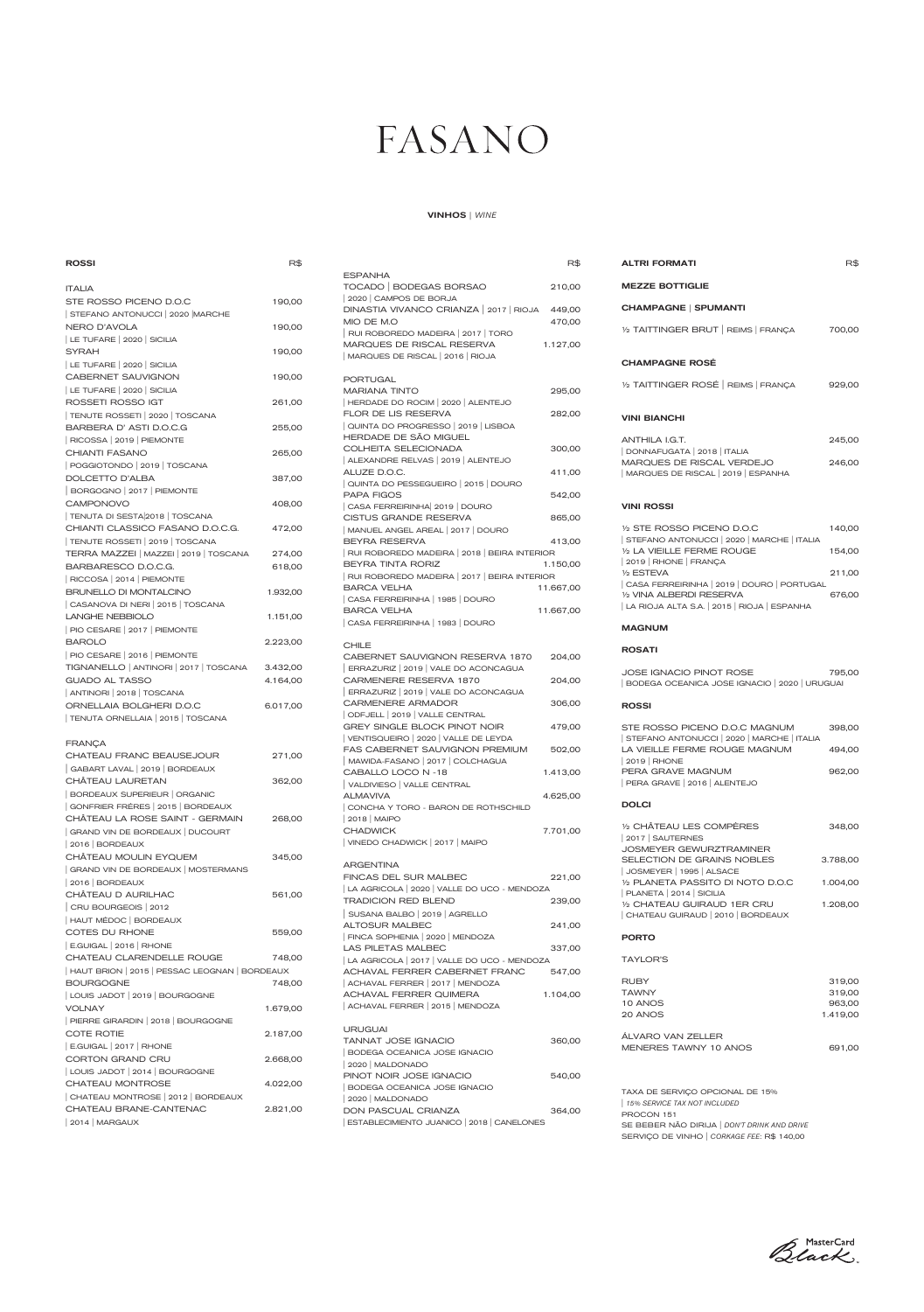| <b>ALTRI FORMATI</b>                                                                                                    | R\$      |
|-------------------------------------------------------------------------------------------------------------------------|----------|
| <b>MEZZE BOTTIGLIE</b>                                                                                                  |          |
| <b>CHAMPAGNE   SPUMANTI</b>                                                                                             |          |
| $1/2$ TAITTINGER BRUT $R$ EIMS $R$ FRANÇA                                                                               | 700,00   |
| <b>CHAMPAGNE ROSÉ</b>                                                                                                   |          |
| 1/2 TAITTINGER ROSÉ REIMS FRANÇA                                                                                        | 929,00   |
| <b>VINI BIANCHI</b>                                                                                                     |          |
| ANTHILA I.G.T.                                                                                                          | 245,00   |
| DONNAFUGATA   2018   ITALIA<br>MARQUES DE RISCAL VERDEJO<br>MARQUES DE RISCAL   2019   ESPANHA                          | 246,00   |
| <b>VINI ROSSI</b>                                                                                                       |          |
| 1/2 STE ROSSO PICENO D.O.C                                                                                              | 140,00   |
| STEFANO ANTONUCCI   2020   MARCHE   ITALIA<br>1/2 LA VIEILLE FERME ROUGE                                                | 154,00   |
| 2019   RHONE   FRANÇA<br>1/2 ESTEVA                                                                                     | 211,00   |
| CASA FERREIRINHA   2019   DOURO   PORTUGAL<br>1/2 VINA ALBERDI RESERVA<br>  LA RIOJA ALTA S.A.   2015   RIOJA   ESPANHA | 676,00   |
| <b>MAGNUM</b>                                                                                                           |          |
| <b>ROSATI</b>                                                                                                           |          |
| <b>JOSE IGNACIO PINOT ROSE</b><br>BODEGA OCEANICA JOSE IGNACIO   2020   URUGUAI                                         | 795,00   |
| <b>ROSSI</b>                                                                                                            |          |
| STE ROSSO PICENO D.O.C MAGNUM                                                                                           | 398,00   |
| STEFANO ANTONUCCI   2020   MARCHE   ITALIA<br>LA VIEILLE FERME ROUGE MAGNUM<br>2019   RHONE                             | 494,00   |
| PERA GRAVE MAGNUM<br>PERA GRAVE   2016   ALENTEJO                                                                       | 962,00   |
| <b>DOLCI</b>                                                                                                            |          |
| 1/2 CHÂTEAU LES COMPÈRES<br>2017   SAUTERNES                                                                            | 348,00   |
| JOSMEYER GEWURZTRAMINER<br>SELECTION DE GRAINS NOBLES                                                                   | 3.788,00 |
| JOSMEYER   1995   ALSACE<br>1/2 PLANETA PASSITO DI NOTO D.O.C<br>PLANETA   2014   SICILIA                               | 1.004,00 |

| <b>ROSSI</b>                                  | R\$      |                                                                   | R\$       | <b>ALTRI FORMATI</b>                                                     | R\$              |
|-----------------------------------------------|----------|-------------------------------------------------------------------|-----------|--------------------------------------------------------------------------|------------------|
|                                               |          | <b>ESPANHA</b>                                                    |           |                                                                          |                  |
| <b>ITALIA</b>                                 |          | TOCADO   BODEGAS BORSAO                                           | 210,00    | <b>MEZZE BOTTIGLIE</b>                                                   |                  |
| STE ROSSO PICENO D.O.C                        | 190,00   | 2020 CAMPOS DE BORJA<br>DINASTIA VIVANCO CRIANZA   2017   RIOJA   | 449,00    | <b>CHAMPAGNE   SPUMANTI</b>                                              |                  |
| STEFANO ANTONUCCI   2020   MARCHE             |          | MIO DE M.O                                                        | 470,00    |                                                                          |                  |
| <b>NERO D'AVOLA</b>                           | 190,00   | RUI ROBOREDO MADEIRA   2017   TORO                                |           | 1/2 TAITTINGER BRUT   REIMS   FRANÇA                                     | 700,00           |
| LE TUFARE   2020   SICILIA                    |          | MARQUES DE RISCAL RESERVA                                         | 1.127,00  |                                                                          |                  |
| <b>SYRAH</b>                                  | 190,00   | MARQUES DE RISCAL   2016   RIOJA                                  |           |                                                                          |                  |
| LE TUFARE 2020 SICILIA                        |          |                                                                   |           | <b>CHAMPAGNE ROSÉ</b>                                                    |                  |
| <b>CABERNET SAUVIGNON</b>                     | 190,00   | <b>PORTUGAL</b>                                                   |           | 1/2 TAITTINGER ROSÉ REIMS FRANCA                                         | 929,00           |
| LE TUFARE   2020   SICILIA                    |          | <b>MARIANA TINTO</b>                                              | 295,00    |                                                                          |                  |
| ROSSETI ROSSO IGT                             | 261,00   | HERDADE DO ROCIM   2020   ALENTEJO                                |           |                                                                          |                  |
| TENUTE ROSSETI   2020   TOSCANA               |          | FLOR DE LIS RESERVA                                               | 282,00    | <b>VINI BIANCHI</b>                                                      |                  |
| BARBERA D' ASTI D.O.C.G                       | 255,00   | QUINTA DO PROGRESSO   2019   LISBOA<br>HERDADE DE SÃO MIGUEL      |           |                                                                          |                  |
| RICOSSA   2019   PIEMONTE                     |          | COLHEITA SELECIONADA                                              | 300,00    | ANTHILA I.G.T.                                                           | 245,00           |
| CHIANTI FASANO                                | 265,00   | ALEXANDRE RELVAS   2019   ALENTEJO                                |           | DONNAFUGATA   2018   ITALIA<br>MARQUES DE RISCAL VERDEJO                 | 246,00           |
| POGGIOTONDO   2019   TOSCANA                  |          | ALUZE D.O.C.                                                      | 411,00    | MARQUES DE RISCAL   2019   ESPANHA                                       |                  |
| DOLCETTO D'ALBA                               | 387,00   | QUINTA DO PESSEGUEIRO   2015   DOURO                              |           |                                                                          |                  |
| BORGOGNO   2017   PIEMONTE                    |          | <b>PAPA FIGOS</b>                                                 | 542,00    |                                                                          |                  |
| <b>CAMPONOVO</b>                              | 408,00   | CASA FERREIRINHA 2019   DOURO                                     |           | <b>VINI ROSSI</b>                                                        |                  |
| TENUTA DI SESTA2018   TOSCANA                 |          | <b>CISTUS GRANDE RESERVA</b>                                      | 865,00    |                                                                          |                  |
| CHIANTI CLASSICO FASANO D.O.C.G.              | 472,00   | MANUEL ANGEL AREAL   2017   DOURO                                 |           | 1/2 STE ROSSO PICENO D.O.C                                               | 140,00           |
| TENUTE ROSSETI   2019   TOSCANA               |          | BEYRA RESERVA                                                     | 413,00    | STEFANO ANTONUCCI   2020   MARCHE   ITALIA<br>1/2 LA VIEILLE FERME ROUGE | 154,00           |
| TERRA MAZZEI   MAZZEI   2019   TOSCANA        | 274,00   | RUI ROBOREDO MADEIRA   2018   BEIRA INTERIOR                      |           | 2019   RHONE   FRANÇA                                                    |                  |
| BARBARESCO D.O.C.G.                           | 618,00   | BEYRA TINTA RORIZ<br>RUI ROBOREDO MADEIRA   2017   BEIRA INTERIOR | 1.150,00  | 1/2 ESTEVA                                                               | 211,00           |
| RICCOSA   2014   PIEMONTE                     |          | <b>BARCA VELHA</b>                                                | 11.667,00 | CASA FERREIRINHA   2019   DOURO   PORTUGAL                               |                  |
| <b>BRUNELLO DI MONTALCINO</b>                 | 1.932,00 | CASA FERREIRINHA   1985   DOURO                                   |           | 1/2 VINA ALBERDI RESERVA                                                 | 676,00           |
| CASANOVA DI NERI   2015   TOSCANA             |          | <b>BARCA VELHA</b>                                                | 11.667,00 | LA RIOJA ALTA S.A.   2015   RIOJA   ESPANHA                              |                  |
| <b>LANGHE NEBBIOLO</b>                        | 1.151,00 | CASA FERREIRINHA   1983   DOURO                                   |           |                                                                          |                  |
| PIO CESARE   2017   PIEMONTE                  |          |                                                                   |           | <b>MAGNUM</b>                                                            |                  |
| <b>BAROLO</b>                                 | 2.223,00 | <b>CHILE</b>                                                      |           | <b>ROSATI</b>                                                            |                  |
| PIO CESARE   2016   PIEMONTE                  |          | CABERNET SAUVIGNON RESERVA 1870                                   | 204,00    |                                                                          |                  |
| TIGNANELLO   ANTINORI   2017   TOSCANA        | 3.432,00 | ERRAZURIZ   2019   VALE DO ACONCAGUA                              |           | <b>JOSE IGNACIO PINOT ROSE</b>                                           | 795,00           |
| <b>GUADO AL TASSO</b>                         | 4.164,00 | CARMENERE RESERVA 1870                                            | 204,00    | BODEGA OCEANICA JOSE IGNACIO   2020   URUGUAI                            |                  |
| ANTINORI 2018   TOSCANA                       |          | ERRAZURIZ   2019   VALE DO ACONCAGUA                              |           |                                                                          |                  |
| ORNELLAIA BOLGHERI D.O.C                      | 6.017,00 | CARMENERE ARMADOR<br>ODFJELL   2019   VALLE CENTRAL               | 306,00    | <b>ROSSI</b>                                                             |                  |
| TENUTA ORNELLAIA   2015   TOSCANA             |          | GREY SINGLE BLOCK PINOT NOIR                                      | 479,00    | STE ROSSO PICENO D.O.C MAGNUM                                            | 398,00           |
|                                               |          | VENTISQUEIRO   2020   VALLE DE LEYDA                              |           | STEFANO ANTONUCCI   2020   MARCHE   ITALIA                               |                  |
| <b>FRANÇA</b>                                 |          | FAS CABERNET SAUVIGNON PREMIUM                                    | 502,00    | LA VIEILLE FERME ROUGE MAGNUM                                            | 494,00           |
| CHATEAU FRANC BEAUSEJOUR                      | 271,00   | MAWIDA-FASANO   2017   COLCHAGUA                                  |           | 2019   RHONE                                                             |                  |
| GABART LAVAL   2019   BORDEAUX                |          | CABALLO LOCO N -18                                                | 1.413,00  | PERA GRAVE MAGNUM                                                        | 962,00           |
| CHÂTEAU LAURETAN                              | 362,00   | VALDIVIESO   VALLE CENTRAL                                        |           | PERA GRAVE   2016   ALENTEJO                                             |                  |
| BORDEAUX SUPERIEUR   ORGANIC                  |          | <b>ALMAVIVA</b>                                                   | 4.625,00  | <b>DOLCI</b>                                                             |                  |
| GONFRIER FRÉRES   2015   BORDEAUX             |          | CONCHA Y TORO - BARON DE ROTHSCHILD                               |           |                                                                          |                  |
| CHÂTEAU LA ROSE SAINT - GERMAIN               | 268,00   | 2018   MAIPO                                                      |           | 1/2 CHÂTEAU LES COMPÈRES                                                 | 348,00           |
| GRAND VIN DE BORDEAUX   DUCOURT               |          | <b>CHADWICK</b>                                                   | 7.701,00  | 2017   SAUTERNES                                                         |                  |
| 2016   BORDEAUX                               |          | VINEDO CHADWICK   2017   MAIPO                                    |           | JOSMEYER GEWURZTRAMINER                                                  |                  |
| CHÂTEAU MOULIN EYQUEM                         | 345,00   | <b>ARGENTINA</b>                                                  |           | SELECTION DE GRAINS NOBLES                                               | 3.788,00         |
| GRAND VIN DE BORDEAUX   MOSTERMANS            |          | FINCAS DEL SUR MALBEC                                             | 221,00    | JOSMEYER   1995   ALSACE                                                 |                  |
| 2016   BORDEAUX                               |          | LA AGRICOLA   2020   VALLE DO UCO - MENDOZA                       |           | 1/2 PLANETA PASSITO DI NOTO D.O.C                                        | 1.004,00         |
| CHÂTEAU D AURILHAC                            | 561,00   | <b>TRADICION RED BLEND</b>                                        | 239,00    | $ $ PLANETA $ 2014 $ SICILIA<br>1/2 CHATEAU GUIRAUD 1ER CRU              | 1.208,00         |
| CRU BOURGEOIS   2012                          |          | SUSANA BALBO   2019   AGRELLO                                     |           | CHATEAU GUIRAUD   2010   BORDEAUX                                        |                  |
| HAUT MÉDOC   BORDEAUX                         |          | <b>ALTOSUR MALBEC</b>                                             | 241,00    |                                                                          |                  |
| COTES DU RHONE                                | 559,00   | FINCA SOPHENIA   2020   MENDOZA                                   |           | <b>PORTO</b>                                                             |                  |
| E.GUIGAL   2016   RHONE                       |          | LAS PILETAS MALBEC                                                | 337,00    |                                                                          |                  |
| CHATEAU CLARENDELLE ROUGE                     | 748,00   | LA AGRICOLA   2017   VALLE DO UCO - MENDOZA                       |           | <b>TAYLOR'S</b>                                                          |                  |
| HAUT BRION   2015   PESSAC LEOGNAN   BORDEAUX |          | ACHAVAL FERRER CABERNET FRANC                                     | 547,00    |                                                                          |                  |
| <b>BOURGOGNE</b>                              | 748,00   | ACHAVAL FERRER   2017   MENDOZA                                   |           | <b>RUBY</b>                                                              | 319,00           |
| LOUIS JADOT   2019   BOURGOGNE                |          | <b>ACHAVAL FERRER QUIMERA</b>                                     | 1.104,00  | <b>TAWNY</b><br>10 ANOS                                                  | 319,00<br>963,00 |
| <b>VOLNAY</b>                                 | 1.679,00 | ACHAVAL FERRER   2015   MENDOZA                                   |           | 20 ANOS                                                                  | 1.419,00         |
| PIERRE GIRARDIN   2018   BOURGOGNE            |          | <b>URUGUAI</b>                                                    |           |                                                                          |                  |
| <b>COTE ROTIE</b>                             | 2.187,00 | <b>TANNAT JOSE IGNACIO</b>                                        | 360,00    | ÁLVARO VAN ZELLER                                                        |                  |
| E.GUIGAL   2017   RHONE                       |          | <b>BODEGA OCEANICA JOSE IGNACIO</b>                               |           | MENERES TAWNY 10 ANOS                                                    | 691,00           |
| CORTON GRAND CRU                              | 2.668,00 | 2020   MALDONADO                                                  |           |                                                                          |                  |
| LOUIS JADOT   2014   BOURGOGNE                |          | PINOT NOIR JOSE IGNACIO                                           | 540,00    |                                                                          |                  |
| CHATEAU MONTROSE                              | 4.022,00 | BODEGA OCEANICA JOSE IGNACIO                                      |           |                                                                          |                  |
| CHATEAU MONTROSE   2012   BORDEAUX            |          | 2020   MALDONADO                                                  |           | TAXA DE SERVIÇO OPCIONAL DE 15%<br>15% SERVICE TAX NOT INCLUDED          |                  |
| CHATEAU BRANE-CANTENAC                        | 2.821,00 | <b>DON PASCUAL CRIANZA</b>                                        | 364,00    | PROCON 151                                                               |                  |
| 2014   MARGAUX                                |          | ESTABLECIMIENTO JUANICO   2018   CANELONES                        |           | SE BEBER NÃO DIRIJA   DON'T DRINK AND DRIVE                              |                  |

|                                                 |          | <b>ESPANHA</b>                                                   |           |                                   |
|-------------------------------------------------|----------|------------------------------------------------------------------|-----------|-----------------------------------|
| <b>ITALIA</b>                                   |          | TOCADO   BODEGAS BORSAO                                          | 210,00    | <b>MEZZE BOTTIGL</b>              |
| STE ROSSO PICENO D.O.C                          | 190,00   | 2020 CAMPOS DE BORJA                                             |           |                                   |
| STEFANO ANTONUCCI 2020 MARCHE                   |          | DINASTIA VIVANCO CRIANZA   2017   RIOJA                          | 449,00    | <b>CHAMPAGNE   S</b>              |
| NERO D'AVOLA                                    | 190,00   | MIO DE M.O<br>RUI ROBOREDO MADEIRA   2017   TORO                 | 470,00    | 1/2 TAITTINGER BI                 |
| LE TUFARE   2020   SICILIA                      |          | MARQUES DE RISCAL RESERVA                                        | 1.127,00  |                                   |
| <b>SYRAH</b>                                    | 190,00   | MARQUES DE RISCAL   2016   RIOJA                                 |           |                                   |
| LE TUFARE   2020   SICILIA                      |          |                                                                  |           | <b>CHAMPAGNE RO</b>               |
| CABERNET SAUVIGNON                              | 190,00   | <b>PORTUGAL</b>                                                  |           |                                   |
| LE TUFARE   2020   SICILIA                      |          | <b>MARIANA TINTO</b>                                             | 295,00    | 1/2 TAITTINGER R                  |
| ROSSETI ROSSO IGT                               | 261,00   | HERDADE DO ROCIM   2020   ALENTEJO                               |           |                                   |
| TENUTE ROSSETI   2020   TOSCANA                 |          | FLOR DE LIS RESERVA                                              | 282,00    | <b>VINI BIANCHI</b>               |
| BARBERA D' ASTI D.O.C.G                         | 255,00   | QUINTA DO PROGRESSO   2019   LISBOA                              |           |                                   |
| RICOSSA   2019   PIEMONTE                       |          | HERDADE DE SÃO MIGUEL                                            |           | ANTHILA I.G.T.                    |
| <b>CHIANTI FASANO</b>                           | 265,00   | COLHEITA SELECIONADA                                             | 300,00    | DONNAFUGATA   2                   |
| POGGIOTONDO   2019   TOSCANA                    |          | ALEXANDRE RELVAS   2019   ALENTEJO<br>ALUZE D.O.C.               | 411,00    | <b>MARQUES DE RI</b>              |
| DOLCETTO D'ALBA                                 | 387,00   | QUINTA DO PESSEGUEIRO   2015   DOURO                             |           | MARQUES DE RIS                    |
| BORGOGNO   2017   PIEMONTE                      |          | <b>PAPA FIGOS</b>                                                | 542,00    |                                   |
| <b>CAMPONOVO</b>                                | 408,00   | CASA FERREIRINHA 2019   DOURO                                    |           | <b>VINI ROSSI</b>                 |
| TENUTA DI SESTA 2018   TOSCANA                  |          | <b>CISTUS GRANDE RESERVA</b>                                     | 865,00    |                                   |
| CHIANTI CLASSICO FASANO D.O.C.G.                | 472,00   | MANUEL ANGEL AREAL   2017   DOURO                                |           | 1/2 STE ROSSO PI                  |
| TENUTE ROSSETI   2019   TOSCANA                 |          | BEYRA RESERVA                                                    | 413,00    | STEFANO ANTONU                    |
| TERRA MAZZEI   MAZZEI   2019   TOSCANA          | 274,00   | RUI ROBOREDO MADEIRA 2018 BEIRA INTERIOR                         |           | 1/2 LA VIEILLE FEF                |
| BARBARESCO D.O.C.G.                             | 618,00   | BEYRA TINTA RORIZ                                                | 1.150,00  | 2019   RHONE   FR                 |
| RICCOSA   2014   PIEMONTE                       |          | RUI ROBOREDO MADEIRA   2017   BEIRA INTERIOR                     |           | 1/2 ESTEVA<br>CASA FERREIRINH     |
| BRUNELLO DI MONTALCINO                          | 1.932,00 | <b>BARCA VELHA</b>                                               | 11.667,00 | 1/2 VINA ALBERDI I                |
| CASANOVA DI NERI   2015   TOSCANA               |          | CASA FERREIRINHA   1985   DOURO                                  |           | LA RIOJA ALTA S.A                 |
| <b>LANGHE NEBBIOLO</b>                          | 1.151,00 | <b>BARCA VELHA</b><br>CASA FERREIRINHA   1983   DOURO            | 11.667,00 |                                   |
| PIO CESARE   2017   PIEMONTE                    |          |                                                                  |           | <b>MAGNUM</b>                     |
| <b>BAROLO</b>                                   | 2.223,00 | <b>CHILE</b>                                                     |           |                                   |
| PIO CESARE   2016   PIEMONTE                    |          | CABERNET SAUVIGNON RESERVA 1870                                  | 204,00    | <b>ROSATI</b>                     |
| TIGNANELLO   ANTINORI   2017   TOSCANA          | 3.432,00 | ERRAZURIZ   2019   VALE DO ACONCAGUA                             |           | <b>JOSE IGNACIO P</b>             |
| <b>GUADO AL TASSO</b>                           | 4.164,00 | CARMENERE RESERVA 1870                                           | 204,00    | <b>BODEGA OCEANIC</b>             |
| ANTINORI 2018   TOSCANA                         |          | ERRAZURIZ   2019   VALE DO ACONCAGUA                             |           |                                   |
| ORNELLAIA BOLGHERI D.O.C                        | 6.017,00 | <b>CARMENERE ARMADOR</b>                                         | 306,00    | <b>ROSSI</b>                      |
| TENUTA ORNELLAIA   2015   TOSCANA               |          | ODFJELL   2019   VALLE CENTRAL                                   |           |                                   |
|                                                 |          | GREY SINGLE BLOCK PINOT NOIR                                     | 479,00    | <b>STE ROSSO PICE</b>             |
| <b>FRANÇA</b>                                   |          | VENTISQUEIRO   2020   VALLE DE LEYDA                             |           | <b>STEFANO ANTONI</b>             |
| CHATEAU FRANC BEAUSEJOUR                        | 271,00   | FAS CABERNET SAUVIGNON PREMIUM                                   | 502,00    | <b>LA VIEILLE FERM</b>            |
| GABART LAVAL   2019   BORDEAUX                  |          | MAWIDA-FASANO   2017   COLCHAGUA<br>CABALLO LOCO N -18           |           | 2019   RHONE<br>PERA GRAVE MA     |
| CHÂTEAU LAURETAN                                | 362,00   | VALDIVIESO   VALLE CENTRAL                                       | 1.413,00  | PERA GRAVE   201                  |
| BORDEAUX SUPERIEUR   ORGANIC                    |          | <b>ALMAVIVA</b>                                                  | 4.625,00  |                                   |
| GONFRIER FRÉRES   2015   BORDEAUX               |          | CONCHA Y TORO - BARON DE ROTHSCHILD                              |           | <b>DOLCI</b>                      |
| CHÂTEAU LA ROSE SAINT - GERMAIN                 | 268,00   | $2018$ MAIPO                                                     |           |                                   |
| GRAND VIN DE BORDEAUX   DUCOURT                 |          | <b>CHADWICK</b>                                                  | 7.701,00  | 1/2 CHÂTEAU LES                   |
| 2016   BORDEAUX                                 |          | VINEDO CHADWICK   2017   MAIPO                                   |           | $ 2017 $ SAUTERNES                |
| CHÂTEAU MOULIN EYQUEM                           | 345.00   |                                                                  |           | <b>JOSMEYER GEW</b>               |
| GRAND VIN DE BORDEAUX   MOSTERMANS              |          | <b>ARGENTINA</b>                                                 |           | SELECTION DE G<br>JOSMEYER   1995 |
| 2016   BORDEAUX                                 |          | FINCAS DEL SUR MALBEC                                            | 221,00    | 1/2 PLANETA PAS:                  |
| CHÂTEAU D AURILHAC                              | 561,00   | LA AGRICOLA   2020   VALLE DO UCO - MENDOZA                      |           | PLANETA   2014   S                |
| CRU BOURGEOIS   2012                            |          | <b>TRADICION RED BLEND</b>                                       | 239,00    | 1/2 CHATEAU GUII                  |
| HAUT MÉDOC BORDEAUX                             |          | SUSANA BALBO   2019   AGRELLO                                    |           | CHATEAU GUIRAU                    |
| COTES DU RHONE                                  | 559,00   | ALTOSUR MALBEC                                                   | 241,00    |                                   |
| E.GUIGAL   2016   RHONE                         |          | FINCA SOPHENIA 2020   MENDOZA                                    |           | <b>PORTO</b>                      |
| CHATEAU CLARENDELLE ROUGE                       | 748,00   | LAS PILETAS MALBEC                                               | 337,00    |                                   |
| HAUT BRION   2015   PESSAC LEOGNAN   BORDEAUX   |          | LA AGRICOLA   2017   VALLE DO UCO - MENDOZA                      |           | <b>TAYLOR'S</b>                   |
| <b>BOURGOGNE</b>                                | 748,00   | ACHAVAL FERRER CABERNET FRANC<br>ACHAVAL FERRER   2017   MENDOZA | 547,00    | <b>RUBY</b>                       |
|                                                 |          | ACHAVAL FERRER QUIMERA                                           | 1.104,00  | TAWNY                             |
| LOUIS JADOT   2019   BOURGOGNE<br><b>VOLNAY</b> |          | ACHAVAL FERRER   2015   MENDOZA                                  |           | 10 ANOS                           |
|                                                 | 1.679,00 |                                                                  |           | 20 ANOS                           |
| PIERRE GIRARDIN   2018   BOURGOGNE              |          | <b>URUGUAI</b>                                                   |           |                                   |
| <b>COTE ROTIE</b>                               | 2.187,00 | <b>TANNAT JOSE IGNACIO</b>                                       | 360,00    | ÁLVARO VAN ZEI                    |
| $ $ E.GUIGAL $ $ 2017 $ $ RHONE                 |          | BODEGA OCEANICA JOSE IGNACIO                                     |           | <b>MENERES TAWN</b>               |
| CORTON GRAND CRU                                | 2.668,00 | 2020   MALDONADO                                                 |           |                                   |
| LOUIS JADOT   2014   BOURGOGNE                  |          | PINOT NOIR JOSE IGNACIO                                          | 540,00    |                                   |
| CHATEAU MONTROSE                                | 4.022,00 | BODEGA OCEANICA JOSE IGNACIO                                     |           | TAXA DE SERVIÇO                   |
| CHATEAU MONTROSE   2012   BORDEAUX              |          | 2020   MALDONADO                                                 |           | 15% SERVICE TAX NOT               |
| CHATEAU BRANE-CANTENAC                          | 2.821,00 | DON PASCUAL CRIANZA                                              | 364,00    | PROCON 151                        |
| 2014   MARGAUX                                  |          | ESTABLECIMIENTO JUANICO   2018   CANELONES                       |           | SE BEBER NÃO DIP                  |

OPCIONAL DE 15% | *15% SERVICE TAX NOT INCLUDED*  SE BEBER NÃO DIRIJA | *DON'T DRINK AND DRIVE* SERVIÇO DE VINHO | *CORKAGE FEE*: R\$ 140,00

Black

## FASANO

#### VINHOS | *WINE*